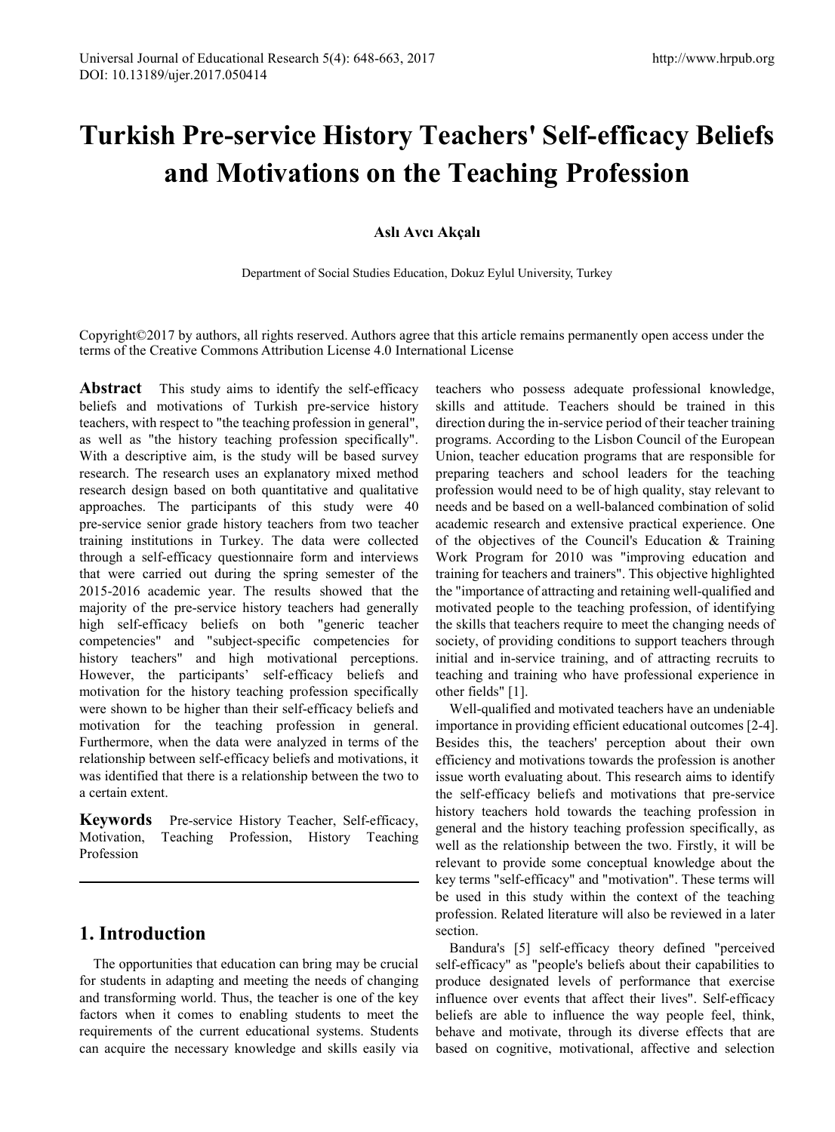# **Turkish Pre-service History Teachers' Self-efficacy Beliefs and Motivations on the Teaching Profession**

### **Aslı Avcı Akçalı**

Department of Social Studies Education, Dokuz Eylul University, Turkey

Copyright©2017 by authors, all rights reserved. Authors agree that this article remains permanently open access under the terms of the Creative Commons Attribution License 4.0 International License

Abstract This study aims to identify the self-efficacy beliefs and motivations of Turkish pre-service history teachers, with respect to "the teaching profession in general", as well as "the history teaching profession specifically". With a descriptive aim, is the study will be based survey research. The research uses an explanatory mixed method research design based on both quantitative and qualitative approaches. The participants of this study were 40 pre-service senior grade history teachers from two teacher training institutions in Turkey. The data were collected through a self-efficacy questionnaire form and interviews that were carried out during the spring semester of the 2015-2016 academic year. The results showed that the majority of the pre-service history teachers had generally high self-efficacy beliefs on both "generic teacher competencies" and "subject-specific competencies for history teachers" and high motivational perceptions. However, the participants' self-efficacy beliefs and motivation for the history teaching profession specifically were shown to be higher than their self-efficacy beliefs and motivation for the teaching profession in general. Furthermore, when the data were analyzed in terms of the relationship between self-efficacy beliefs and motivations, it was identified that there is a relationship between the two to a certain extent.

**Keywords** Pre-service History Teacher, Self-efficacy, Motivation, Teaching Profession, History Teaching Profession

# **1. Introduction**

The opportunities that education can bring may be crucial for students in adapting and meeting the needs of changing and transforming world. Thus, the teacher is one of the key factors when it comes to enabling students to meet the requirements of the current educational systems. Students can acquire the necessary knowledge and skills easily via teachers who possess adequate professional knowledge, skills and attitude. Teachers should be trained in this direction during the in-service period of their teacher training programs. According to the Lisbon Council of the European Union, teacher education programs that are responsible for preparing teachers and school leaders for the teaching profession would need to be of high quality, stay relevant to needs and be based on a well-balanced combination of solid academic research and extensive practical experience. One of the objectives of the Council's Education & Training Work Program for 2010 was "improving education and training for teachers and trainers". This objective highlighted the "importance of attracting and retaining well-qualified and motivated people to the teaching profession, of identifying the skills that teachers require to meet the changing needs of society, of providing conditions to support teachers through initial and in-service training, and of attracting recruits to teaching and training who have professional experience in other fields" [1].

Well-qualified and motivated teachers have an undeniable importance in providing efficient educational outcomes [2-4]. Besides this, the teachers' perception about their own efficiency and motivations towards the profession is another issue worth evaluating about. This research aims to identify the self-efficacy beliefs and motivations that pre-service history teachers hold towards the teaching profession in general and the history teaching profession specifically, as well as the relationship between the two. Firstly, it will be relevant to provide some conceptual knowledge about the key terms "self-efficacy" and "motivation". These terms will be used in this study within the context of the teaching profession. Related literature will also be reviewed in a later section.

Bandura's [5] self-efficacy theory defined "perceived self-efficacy" as "people's beliefs about their capabilities to produce designated levels of performance that exercise influence over events that affect their lives". Self-efficacy beliefs are able to influence the way people feel, think, behave and motivate, through its diverse effects that are based on cognitive, motivational, affective and selection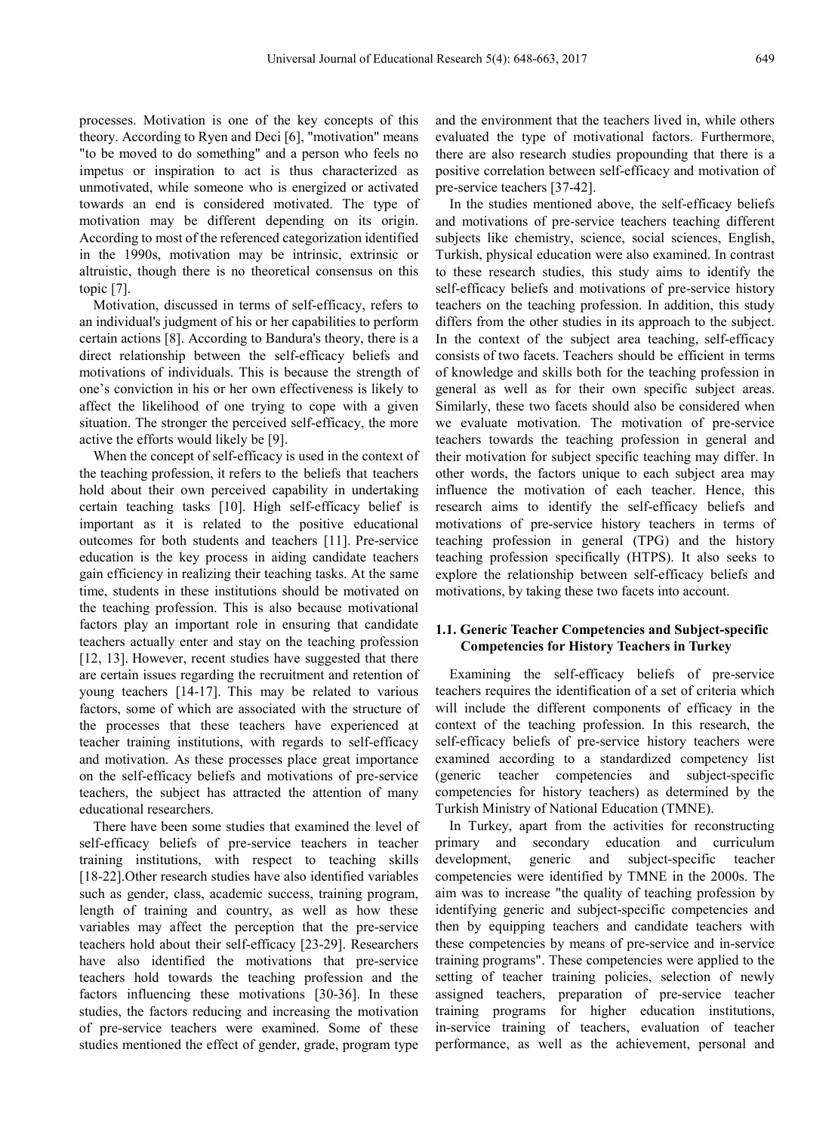processes. Motivation is one of the key concepts of this theory. According to Ryen and Deci [6], "motivation" means "to be moved to do something" and a person who feels no impetus or inspiration to act is thus characterized as unmotivated, while someone who is energized or activated towards an end is considered motivated. The type of motivation may be different depending on its origin. According to most of the referenced categorization identified in the 1990s, motivation may be intrinsic, extrinsic or altruistic, though there is no theoretical consensus on this topic [7].

Motivation, discussed in terms of self-efficacy, refers to an individual's judgment of his or her capabilities to perform certain actions [8]. According to Bandura's theory, there is a direct relationship between the self-efficacy beliefs and motivations of individuals. This is because the strength of one's conviction in his or her own effectiveness is likely to affect the likelihood of one trying to cope with a given situation. The stronger the perceived self-efficacy, the more active the efforts would likely be [9].

When the concept of self-efficacy is used in the context of the teaching profession, it refers to the beliefs that teachers hold about their own perceived capability in undertaking certain teaching tasks [10]. High self-efficacy belief is important as it is related to the positive educational outcomes for both students and teachers [11]. Pre-service education is the key process in aiding candidate teachers gain efficiency in realizing their teaching tasks. At the same time, students in these institutions should be motivated on the teaching profession. This is also because motivational factors play an important role in ensuring that candidate teachers actually enter and stay on the teaching profession [12, 13]. However, recent studies have suggested that there are certain issues regarding the recruitment and retention of young teachers [14-17]. This may be related to various factors, some of which are associated with the structure of the processes that these teachers have experienced at teacher training institutions, with regards to self-efficacy and motivation. As these processes place great importance on the self-efficacy beliefs and motivations of pre-service teachers, the subject has attracted the attention of many educational researchers.

There have been some studies that examined the level of self-efficacy beliefs of pre-service teachers in teacher training institutions, with respect to teaching skills [18-22].Other research studies have also identified variables such as gender, class, academic success, training program, length of training and country, as well as how these variables may affect the perception that the pre-service teachers hold about their self-efficacy [23-29]. Researchers have also identified the motivations that pre-service teachers hold towards the teaching profession and the factors influencing these motivations [30-36]. In these studies, the factors reducing and increasing the motivation of pre-service teachers were examined. Some of these studies mentioned the effect of gender, grade, program type

and the environment that the teachers lived in, while others evaluated the type of motivational factors. Furthermore, there are also research studies propounding that there is a positive correlation between self-efficacy and motivation of pre-service teachers [37-42].

In the studies mentioned above, the self-efficacy beliefs and motivations of pre-service teachers teaching different subjects like chemistry, science, social sciences, English, Turkish, physical education were also examined. In contrast to these research studies, this study aims to identify the self-efficacy beliefs and motivations of pre-service history teachers on the teaching profession. In addition, this study differs from the other studies in its approach to the subject. In the context of the subject area teaching, self-efficacy consists of two facets. Teachers should be efficient in terms of knowledge and skills both for the teaching profession in general as well as for their own specific subject areas. Similarly, these two facets should also be considered when we evaluate motivation. The motivation of pre-service teachers towards the teaching profession in general and their motivation for subject specific teaching may differ. In other words, the factors unique to each subject area may influence the motivation of each teacher. Hence, this research aims to identify the self-efficacy beliefs and motivations of pre-service history teachers in terms of teaching profession in general (TPG) and the history teaching profession specifically (HTPS). It also seeks to explore the relationship between self-efficacy beliefs and motivations, by taking these two facets into account.

#### **1.1. Generic Teacher Competencies and Subject-specific Competencies for History Teachers in Turkey**

Examining the self-efficacy beliefs of pre-service teachers requires the identification of a set of criteria which will include the different components of efficacy in the context of the teaching profession. In this research, the self-efficacy beliefs of pre-service history teachers were examined according to a standardized competency list (generic teacher competencies and subject-specific competencies for history teachers) as determined by the Turkish Ministry of National Education (TMNE).

In Turkey, apart from the activities for reconstructing primary and secondary education and curriculum development, generic and subject-specific teacher competencies were identified by TMNE in the 2000s. The aim was to increase "the quality of teaching profession by identifying generic and subject-specific competencies and then by equipping teachers and candidate teachers with these competencies by means of pre-service and in-service training programs". These competencies were applied to the setting of teacher training policies, selection of newly assigned teachers, preparation of pre-service teacher training programs for higher education institutions, in-service training of teachers, evaluation of teacher performance, as well as the achievement, personal and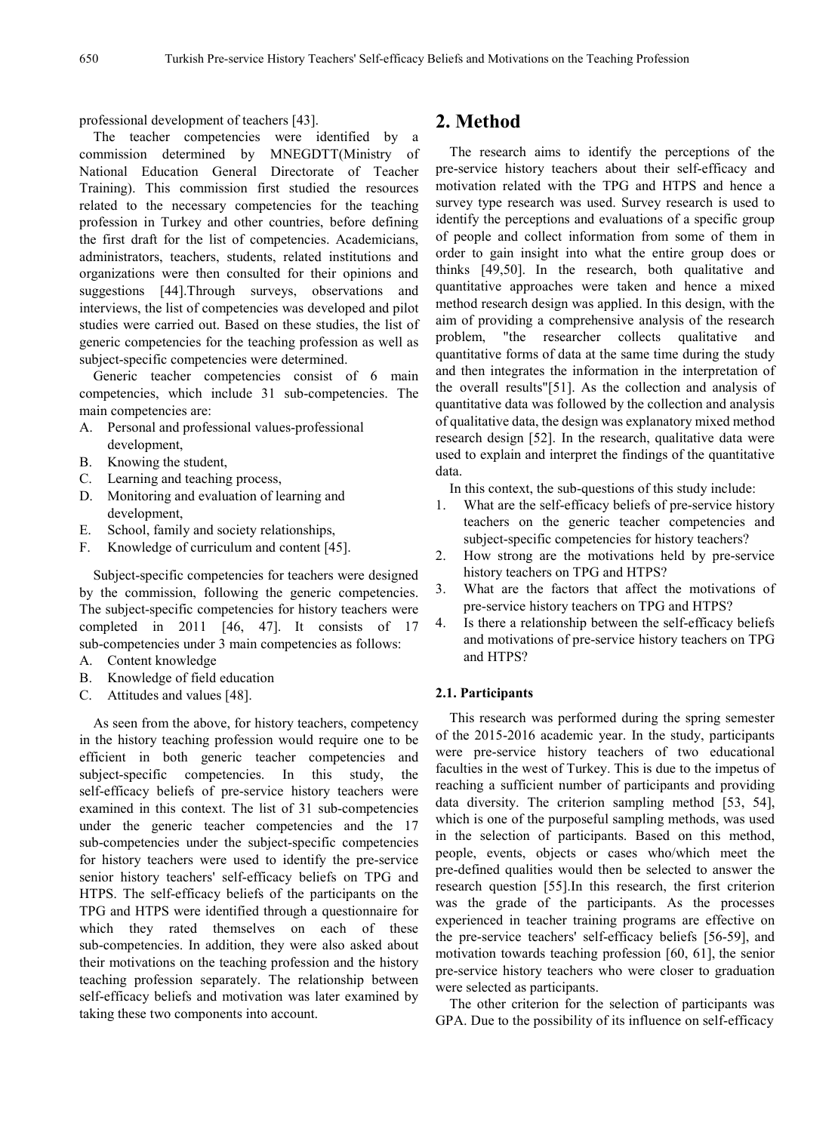professional development of teachers [43].

The teacher competencies were identified by a commission determined by MNEGDTT(Ministry of National Education General Directorate of Teacher Training). This commission first studied the resources related to the necessary competencies for the teaching profession in Turkey and other countries, before defining the first draft for the list of competencies. Academicians, administrators, teachers, students, related institutions and organizations were then consulted for their opinions and suggestions [44].Through surveys, observations and interviews, the list of competencies was developed and pilot studies were carried out. Based on these studies, the list of generic competencies for the teaching profession as well as subject-specific competencies were determined.

Generic teacher competencies consist of 6 main competencies, which include 31 sub-competencies. The main competencies are:

- A. Personal and professional values-professional development,
- B. Knowing the student,
- C. Learning and teaching process,
- D. Monitoring and evaluation of learning and development,
- E. School, family and society relationships,
- F. Knowledge of curriculum and content [45].

Subject-specific competencies for teachers were designed by the commission, following the generic competencies. The subject-specific competencies for history teachers were completed in 2011 [46, 47]. It consists of 17 sub-competencies under 3 main competencies as follows:

- A. Content knowledge
- B. Knowledge of field education
- C. Attitudes and values [48].

As seen from the above, for history teachers, competency in the history teaching profession would require one to be efficient in both generic teacher competencies and subject-specific competencies. In this study, the self-efficacy beliefs of pre-service history teachers were examined in this context. The list of 31 sub-competencies under the generic teacher competencies and the 17 sub-competencies under the subject-specific competencies for history teachers were used to identify the pre-service senior history teachers' self-efficacy beliefs on TPG and HTPS. The self-efficacy beliefs of the participants on the TPG and HTPS were identified through a questionnaire for which they rated themselves on each of these sub-competencies. In addition, they were also asked about their motivations on the teaching profession and the history teaching profession separately. The relationship between self-efficacy beliefs and motivation was later examined by taking these two components into account.

## **2. Method**

The research aims to identify the perceptions of the pre-service history teachers about their self-efficacy and motivation related with the TPG and HTPS and hence a survey type research was used. Survey research is used to identify the perceptions and evaluations of a specific group of people and collect information from some of them in order to gain insight into what the entire group does or thinks [49,50]. In the research, both qualitative and quantitative approaches were taken and hence a mixed method research design was applied. In this design, with the aim of providing a comprehensive analysis of the research problem, "the researcher collects qualitative and quantitative forms of data at the same time during the study and then integrates the information in the interpretation of the overall results"[51]. As the collection and analysis of quantitative data was followed by the collection and analysis of qualitative data, the design was explanatory mixed method research design [52]. In the research, qualitative data were used to explain and interpret the findings of the quantitative data.

In this context, the sub-questions of this study include:

- 1. What are the self-efficacy beliefs of pre-service history teachers on the generic teacher competencies and subject-specific competencies for history teachers?
- 2. How strong are the motivations held by pre-service history teachers on TPG and HTPS?
- 3. What are the factors that affect the motivations of pre-service history teachers on TPG and HTPS?
- 4. Is there a relationship between the self-efficacy beliefs and motivations of pre-service history teachers on TPG and HTPS?

#### **2.1. Participants**

This research was performed during the spring semester of the 2015-2016 academic year. In the study, participants were pre-service history teachers of two educational faculties in the west of Turkey. This is due to the impetus of reaching a sufficient number of participants and providing data diversity. The criterion sampling method [53, 54], which is one of the purposeful sampling methods, was used in the selection of participants. Based on this method, people, events, objects or cases who/which meet the pre-defined qualities would then be selected to answer the research question [55].In this research, the first criterion was the grade of the participants. As the processes experienced in teacher training programs are effective on the pre-service teachers' self-efficacy beliefs [56-59], and motivation towards teaching profession [60, 61], the senior pre-service history teachers who were closer to graduation were selected as participants.

The other criterion for the selection of participants was GPA. Due to the possibility of its influence on self-efficacy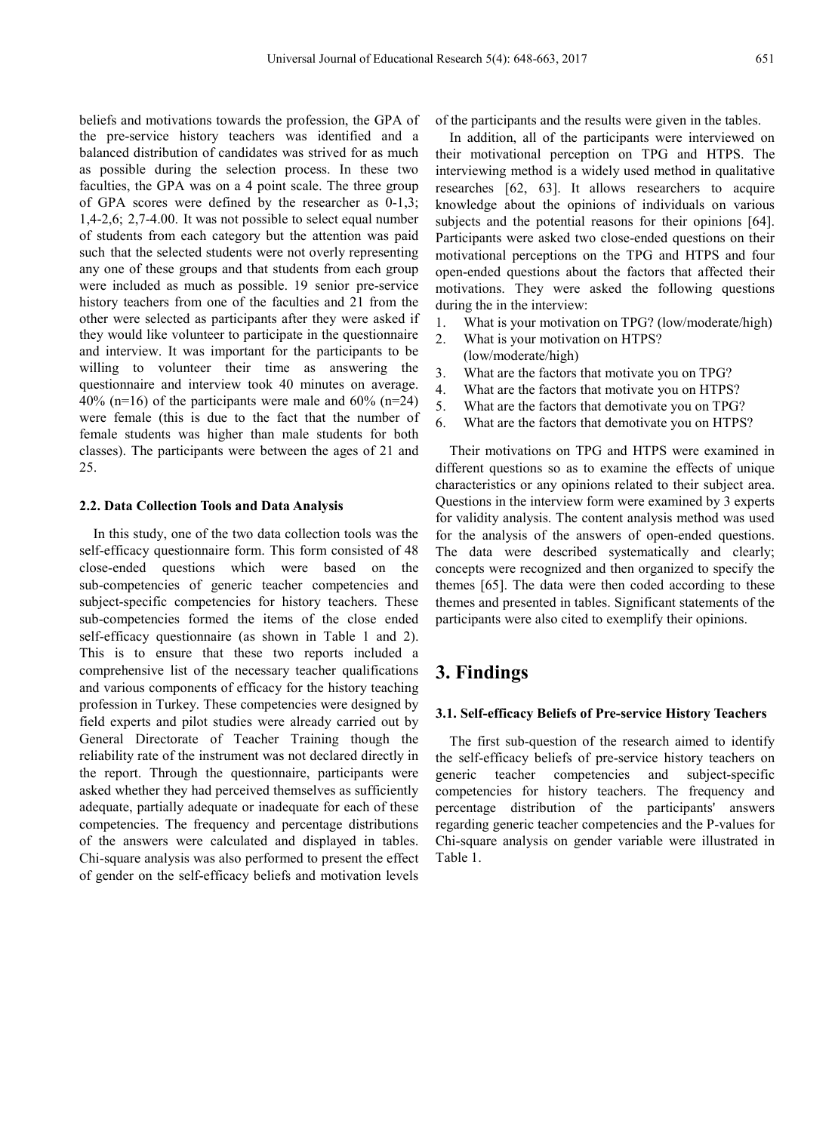beliefs and motivations towards the profession, the GPA of the pre-service history teachers was identified and a balanced distribution of candidates was strived for as much as possible during the selection process. In these two faculties, the GPA was on a 4 point scale. The three group of GPA scores were defined by the researcher as 0-1,3; 1,4-2,6; 2,7-4.00. It was not possible to select equal number of students from each category but the attention was paid such that the selected students were not overly representing any one of these groups and that students from each group were included as much as possible. 19 senior pre-service history teachers from one of the faculties and 21 from the other were selected as participants after they were asked if they would like volunteer to participate in the questionnaire and interview. It was important for the participants to be willing to volunteer their time as answering the questionnaire and interview took 40 minutes on average. 40% (n=16) of the participants were male and 60% (n=24) were female (this is due to the fact that the number of female students was higher than male students for both classes). The participants were between the ages of 21 and 25.

#### **2.2. Data Collection Tools and Data Analysis**

In this study, one of the two data collection tools was the self-efficacy questionnaire form. This form consisted of 48 close-ended questions which were based on the sub-competencies of generic teacher competencies and subject-specific competencies for history teachers. These sub-competencies formed the items of the close ended self-efficacy questionnaire (as shown in Table 1 and 2). This is to ensure that these two reports included a comprehensive list of the necessary teacher qualifications and various components of efficacy for the history teaching profession in Turkey. These competencies were designed by field experts and pilot studies were already carried out by General Directorate of Teacher Training though the reliability rate of the instrument was not declared directly in the report. Through the questionnaire, participants were asked whether they had perceived themselves as sufficiently adequate, partially adequate or inadequate for each of these competencies. The frequency and percentage distributions of the answers were calculated and displayed in tables. Chi-square analysis was also performed to present the effect of gender on the self-efficacy beliefs and motivation levels

of the participants and the results were given in the tables.

In addition, all of the participants were interviewed on their motivational perception on TPG and HTPS. The interviewing method is a widely used method in qualitative researches [62, 63]. It allows researchers to acquire knowledge about the opinions of individuals on various subjects and the potential reasons for their opinions [64]. Participants were asked two close-ended questions on their motivational perceptions on the TPG and HTPS and four open-ended questions about the factors that affected their motivations. They were asked the following questions during the in the interview:

- 1. What is your motivation on TPG? (low/moderate/high)
- 2. What is your motivation on HTPS?
	- (low/moderate/high)
- 3. What are the factors that motivate you on TPG?
- 4. What are the factors that motivate you on HTPS?
- 5. What are the factors that demotivate you on TPG?
- 6. What are the factors that demotivate you on HTPS?

Their motivations on TPG and HTPS were examined in different questions so as to examine the effects of unique characteristics or any opinions related to their subject area. Questions in the interview form were examined by 3 experts for validity analysis. The content analysis method was used for the analysis of the answers of open-ended questions. The data were described systematically and clearly; concepts were recognized and then organized to specify the themes [65]. The data were then coded according to these themes and presented in tables. Significant statements of the participants were also cited to exemplify their opinions.

# **3. Findings**

#### **3.1. Self-efficacy Beliefs of Pre-service History Teachers**

The first sub-question of the research aimed to identify the self-efficacy beliefs of pre-service history teachers on generic teacher competencies and subject-specific competencies for history teachers. The frequency and percentage distribution of the participants' answers regarding generic teacher competencies and the P-values for Chi-square analysis on gender variable were illustrated in Table 1.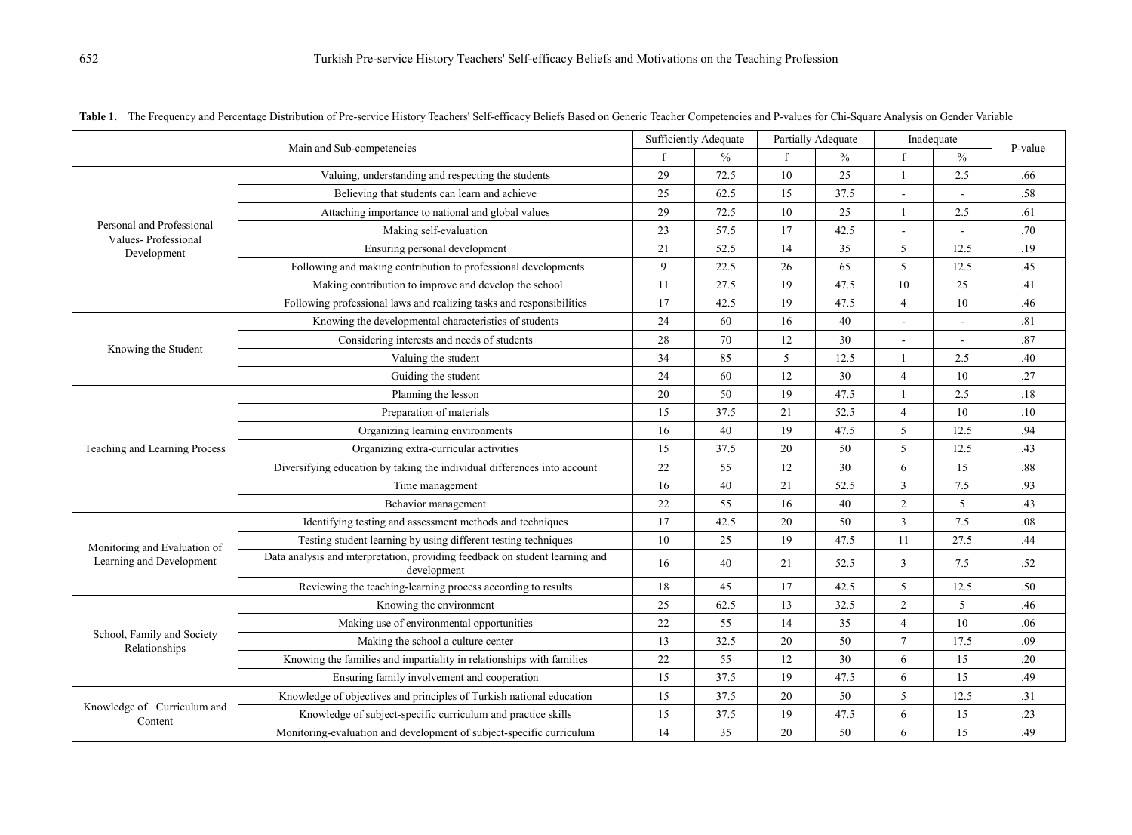|                                                  |                                                                                             | <b>Sufficiently Adequate</b> |               | Partially Adequate |               | Inadequate     |               |         |
|--------------------------------------------------|---------------------------------------------------------------------------------------------|------------------------------|---------------|--------------------|---------------|----------------|---------------|---------|
| Main and Sub-competencies                        |                                                                                             |                              | $\frac{0}{0}$ | $\mathbf f$        | $\frac{0}{0}$ |                | $\frac{0}{0}$ | P-value |
|                                                  | Valuing, understanding and respecting the students                                          | 29                           | 72.5          | 10                 | 25            | $\mathbf{1}$   | 2.5           | .66     |
|                                                  | Believing that students can learn and achieve                                               |                              | 62.5          | 15                 | 37.5          |                |               | .58     |
|                                                  | Attaching importance to national and global values                                          | 29                           | 72.5          | 10                 | 25            | 1              | 2.5           | .61     |
| Personal and Professional<br>Values-Professional | Making self-evaluation                                                                      | 23                           | 57.5          | 17                 | 42.5          | $\sim$         |               | .70     |
| Development                                      | Ensuring personal development                                                               | 21                           | 52.5          | 14                 | 35            | 5              | 12.5          | .19     |
|                                                  | Following and making contribution to professional developments                              | 9                            | 22.5          | 26                 | 65            | 5              | 12.5          | .45     |
|                                                  | Making contribution to improve and develop the school                                       | 11                           | 27.5          | 19                 | 47.5          | 10             | 25            | .41     |
|                                                  | Following professional laws and realizing tasks and responsibilities                        | 17                           | 42.5          | 19                 | 47.5          | $\overline{4}$ | 10            | .46     |
|                                                  | Knowing the developmental characteristics of students                                       | 24                           | 60            | 16                 | 40            | $\sim$         |               | .81     |
|                                                  | Considering interests and needs of students                                                 | 28                           | 70            | 12                 | 30            | $\sim$         |               | .87     |
| Knowing the Student                              | Valuing the student                                                                         | 34                           | 85            | 5                  | 12.5          | 1              | 2.5           | .40     |
|                                                  | Guiding the student                                                                         | 24                           | 60            | 12                 | 30            | $\overline{4}$ | 10            | .27     |
|                                                  | Planning the lesson                                                                         | 20                           | 50            | 19                 | 47.5          | 1              | 2.5           | .18     |
|                                                  | Preparation of materials                                                                    |                              | 37.5          | 21                 | 52.5          | $\overline{4}$ | 10            | .10     |
|                                                  | Organizing learning environments                                                            | 16                           | 40            | 19                 | 47.5          | 5              | 12.5          | .94     |
| Teaching and Learning Process                    | Organizing extra-curricular activities                                                      | 15                           | 37.5          | 20                 | 50            | 5              | 12.5          | .43     |
|                                                  | Diversifying education by taking the individual differences into account                    | 22                           | 55            | 12                 | 30            | 6              | 15            | .88     |
|                                                  | Time management                                                                             | 16                           | 40            | 21                 | 52.5          | $\mathfrak{Z}$ | 7.5           | .93     |
|                                                  | Behavior management                                                                         | 22                           | 55            | 16                 | 40            | $\overline{c}$ | 5             | .43     |
|                                                  | Identifying testing and assessment methods and techniques                                   | 17                           | 42.5          | 20                 | 50            | $\mathfrak{Z}$ | 7.5           | .08     |
| Monitoring and Evaluation of                     | Testing student learning by using different testing techniques                              | 10                           | 25            | 19                 | 47.5          | 11             | 27.5          | .44     |
| Learning and Development                         | Data analysis and interpretation, providing feedback on student learning and<br>development | 16                           | 40            | 21                 | 52.5          | 3              | 7.5           | .52     |
|                                                  | Reviewing the teaching-learning process according to results                                | 18                           | 45            | 17                 | 42.5          | 5              | 12.5          | .50     |
|                                                  | Knowing the environment                                                                     | 25                           | 62.5          | 13                 | 32.5          | $\overline{2}$ | 5             | .46     |
| School, Family and Society<br>Relationships      | Making use of environmental opportunities                                                   | 22                           | 55            | 14                 | 35            | $\overline{4}$ | 10            | .06     |
|                                                  | Making the school a culture center                                                          | 13                           | 32.5          | 20                 | 50            | $\tau$         | 17.5          | .09     |
|                                                  | Knowing the families and impartiality in relationships with families                        | 22                           | 55            | 12                 | 30            | 6              | 15            | .20     |
|                                                  | Ensuring family involvement and cooperation                                                 | 15                           | 37.5          | 19                 | 47.5          | 6              | 15            | .49     |
| Knowledge of Curriculum and<br>Content           | Knowledge of objectives and principles of Turkish national education                        | 15                           | 37.5          | 20                 | 50            | 5              | 12.5          | .31     |
|                                                  | Knowledge of subject-specific curriculum and practice skills                                | 15                           | 37.5          | 19                 | 47.5          | 6              | 15            | .23     |
|                                                  | Monitoring-evaluation and development of subject-specific curriculum                        | 14                           | 35            | 20                 | 50            | 6              | 15            | .49     |

Table 1. The Frequency and Percentage Distribution of Pre-service History Teachers' Self-efficacy Beliefs Based on Generic Teacher Competencies and P-values for Chi-Square Analysis on Gender Variable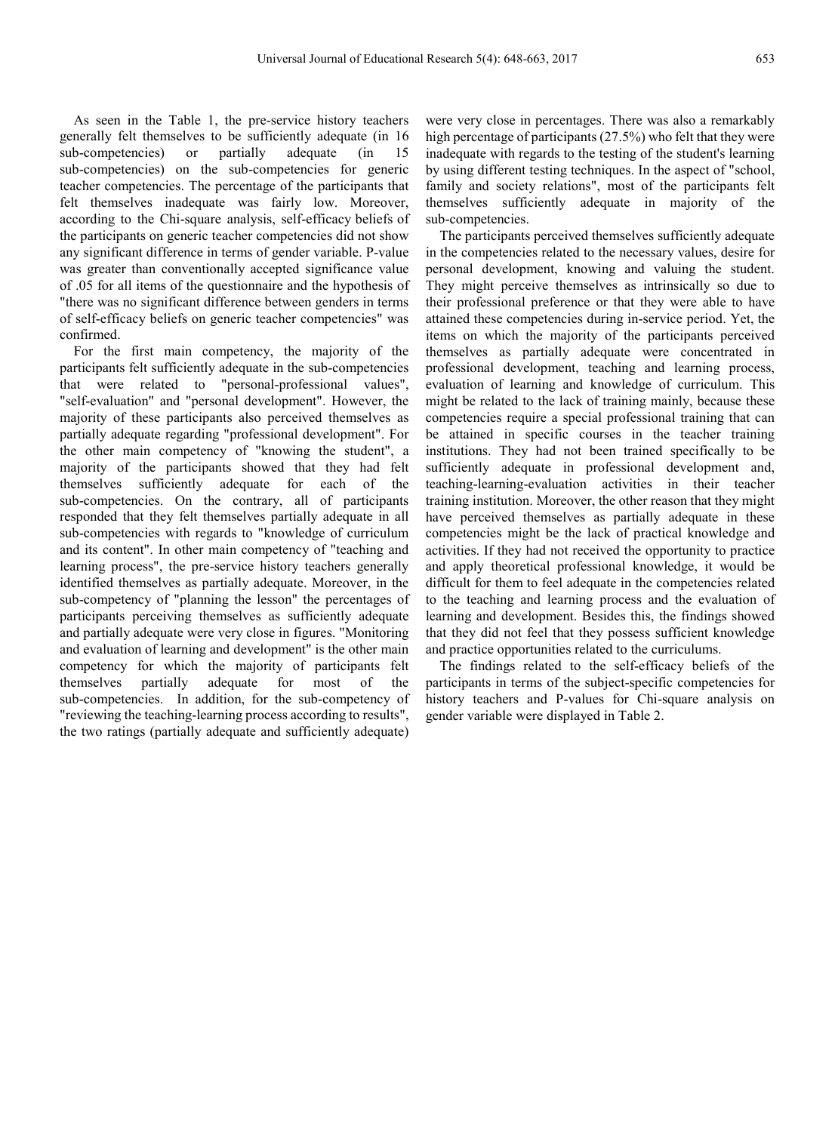As seen in the Table 1, the pre-service history teachers generally felt themselves to be sufficiently adequate (in 16 sub-competencies) or partially adequate (in 15 sub-competencies) on the sub-competencies for generic teacher competencies. The percentage of the participants that felt themselves inadequate was fairly low. Moreover, according to the Chi-square analysis, self-efficacy beliefs of the participants on generic teacher competencies did not show any significant difference in terms of gender variable. P-value was greater than conventionally accepted significance value of .05 for all items of the questionnaire and the hypothesis of "there was no significant difference between genders in terms of self-efficacy beliefs on generic teacher competencies" was confirmed.

For the first main competency, the majority of the participants felt sufficiently adequate in the sub-competencies that were related to "personal-professional values", "self-evaluation" and "personal development". However, the majority of these participants also perceived themselves as partially adequate regarding "professional development". For the other main competency of "knowing the student", a majority of the participants showed that they had felt themselves sufficiently adequate for each of the sub-competencies. On the contrary, all of participants responded that they felt themselves partially adequate in all sub-competencies with regards to "knowledge of curriculum and its content". In other main competency of "teaching and learning process", the pre-service history teachers generally identified themselves as partially adequate. Moreover, in the sub-competency of "planning the lesson" the percentages of participants perceiving themselves as sufficiently adequate and partially adequate were very close in figures. "Monitoring and evaluation of learning and development" is the other main competency for which the majority of participants felt themselves partially adequate for most of the sub-competencies. In addition, for the sub-competency of "reviewing the teaching-learning process according to results", the two ratings (partially adequate and sufficiently adequate)

were very close in percentages. There was also a remarkably high percentage of participants (27.5%) who felt that they were inadequate with regards to the testing of the student's learning by using different testing techniques. In the aspect of "school, family and society relations", most of the participants felt themselves sufficiently adequate in majority of the sub-competencies.

The participants perceived themselves sufficiently adequate in the competencies related to the necessary values, desire for personal development, knowing and valuing the student. They might perceive themselves as intrinsically so due to their professional preference or that they were able to have attained these competencies during in-service period. Yet, the items on which the majority of the participants perceived themselves as partially adequate were concentrated in professional development, teaching and learning process, evaluation of learning and knowledge of curriculum. This might be related to the lack of training mainly, because these competencies require a special professional training that can be attained in specific courses in the teacher training institutions. They had not been trained specifically to be sufficiently adequate in professional development and, teaching-learning-evaluation activities in their teacher training institution. Moreover, the other reason that they might have perceived themselves as partially adequate in these competencies might be the lack of practical knowledge and activities. If they had not received the opportunity to practice and apply theoretical professional knowledge, it would be difficult for them to feel adequate in the competencies related to the teaching and learning process and the evaluation of learning and development. Besides this, the findings showed that they did not feel that they possess sufficient knowledge and practice opportunities related to the curriculums.

The findings related to the self-efficacy beliefs of the participants in terms of the subject-specific competencies for history teachers and P-values for Chi-square analysis on gender variable were displayed in Table 2.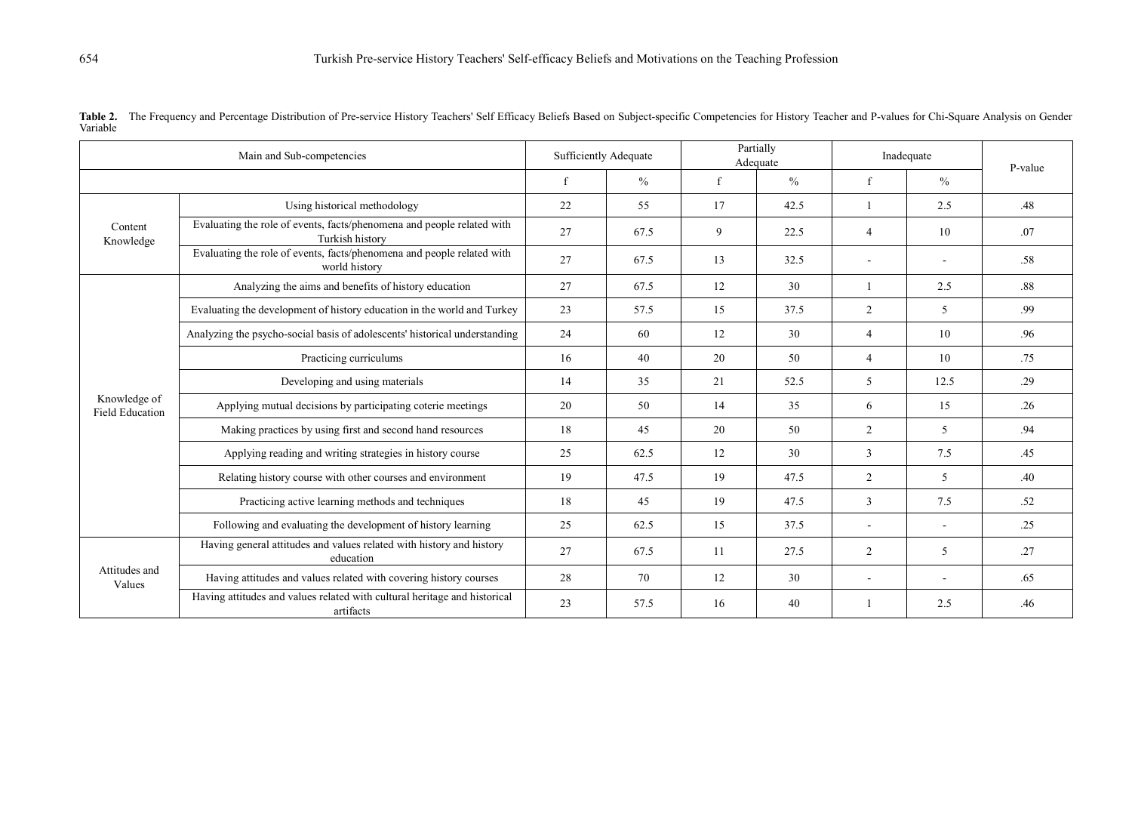| Main and Sub-competencies              |                                                                                           | <b>Sufficiently Adequate</b> |               | Partially<br>Adequate |               | Inadequate     |               | P-value |  |
|----------------------------------------|-------------------------------------------------------------------------------------------|------------------------------|---------------|-----------------------|---------------|----------------|---------------|---------|--|
|                                        |                                                                                           | f                            | $\frac{0}{0}$ | f                     | $\frac{0}{0}$ | f              | $\frac{0}{0}$ |         |  |
| Content<br>Knowledge                   | Using historical methodology                                                              | 22                           | 55            | 17                    | 42.5          |                | 2.5           | .48     |  |
|                                        | Evaluating the role of events, facts/phenomena and people related with<br>Turkish history | 27                           | 67.5          | 9                     | 22.5          | $\overline{4}$ | 10            | .07     |  |
|                                        | Evaluating the role of events, facts/phenomena and people related with<br>world history   | 27                           | 67.5          | 13                    | 32.5          |                |               | .58     |  |
|                                        | Analyzing the aims and benefits of history education                                      | 27                           | 67.5          | 12                    | 30            |                | 2.5           | .88     |  |
|                                        | Evaluating the development of history education in the world and Turkey                   | 23                           | 57.5          | 15                    | 37.5          | $\overline{2}$ | 5             | .99     |  |
|                                        | Analyzing the psycho-social basis of adolescents' historical understanding                | 24                           | 60            | 12                    | 30            | $\overline{4}$ | 10            | .96     |  |
| Knowledge of<br><b>Field Education</b> | Practicing curriculums                                                                    | 16                           | 40            | 20                    | 50            | 4              | 10            | .75     |  |
|                                        | Developing and using materials                                                            | 14                           | 35            | 21                    | 52.5          | 5              | 12.5          | .29     |  |
|                                        | Applying mutual decisions by participating coterie meetings                               | 20                           | 50            | 14                    | 35            | 6              | 15            | .26     |  |
|                                        | Making practices by using first and second hand resources                                 | 18                           | 45            | 20                    | 50            | $\overline{2}$ | 5             | .94     |  |
|                                        | Applying reading and writing strategies in history course                                 | 25                           | 62.5          | 12                    | 30            | 3              | 7.5           | .45     |  |
|                                        | Relating history course with other courses and environment                                | 19                           | 47.5          | 19                    | 47.5          | $\overline{c}$ | 5             | .40     |  |
|                                        | Practicing active learning methods and techniques                                         | 18                           | 45            | 19                    | 47.5          | 3              | 7.5           | .52     |  |
|                                        | Following and evaluating the development of history learning                              | 25                           | 62.5          | 15                    | 37.5          |                | $\sim$        | .25     |  |
| Attitudes and<br>Values                | Having general attitudes and values related with history and history<br>education         | 27                           | 67.5          | 11                    | 27.5          | 2              | 5             | .27     |  |
|                                        | Having attitudes and values related with covering history courses                         | 28                           | 70            | 12                    | 30            |                |               | .65     |  |
|                                        | Having attitudes and values related with cultural heritage and historical<br>artifacts    | 23                           | 57.5          | 16                    | 40            |                | 2.5           | .46     |  |

Table 2. The Frequency and Percentage Distribution of Pre-service History Teachers' Self Efficacy Beliefs Based on Subject-specific Competencies for History Teacher and P-values for Chi-Square Analysis on Gender Variable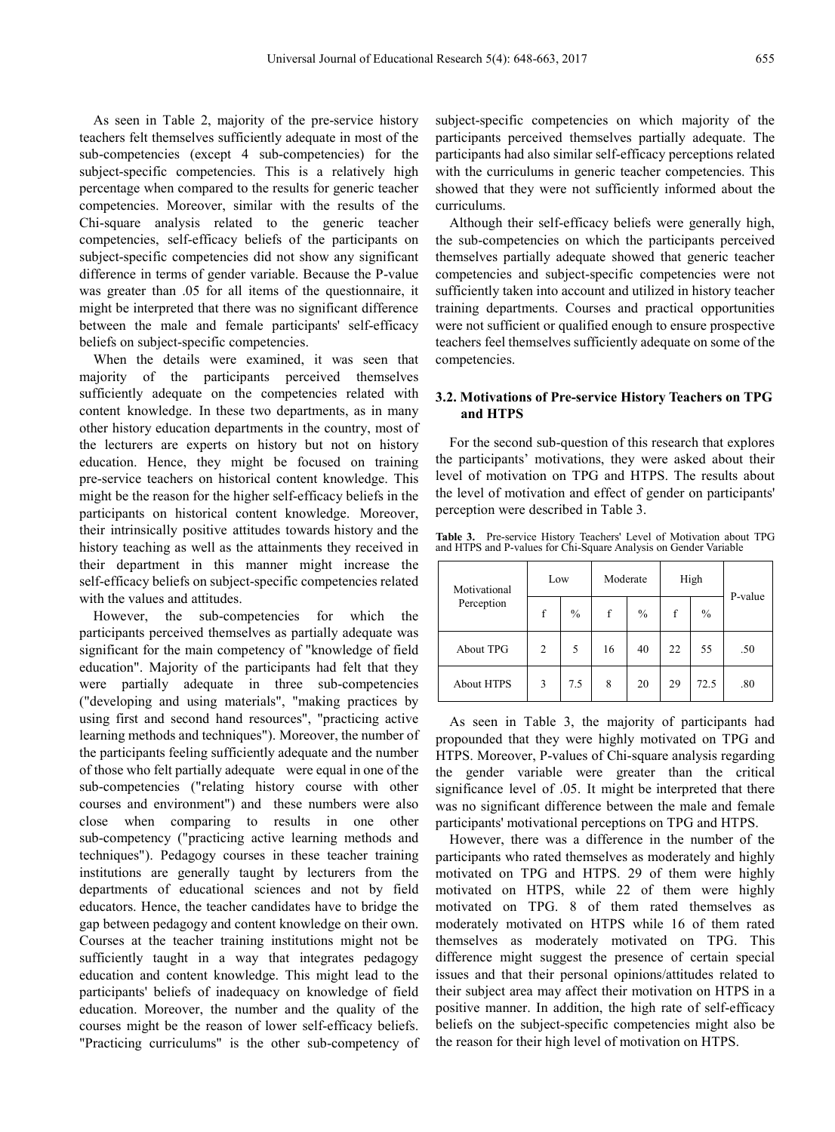As seen in Table 2, majority of the pre-service history teachers felt themselves sufficiently adequate in most of the sub-competencies (except 4 sub-competencies) for the subject-specific competencies. This is a relatively high percentage when compared to the results for generic teacher competencies. Moreover, similar with the results of the Chi-square analysis related to the generic teacher competencies, self-efficacy beliefs of the participants on subject-specific competencies did not show any significant difference in terms of gender variable. Because the P-value was greater than .05 for all items of the questionnaire, it might be interpreted that there was no significant difference between the male and female participants' self-efficacy beliefs on subject-specific competencies.

When the details were examined, it was seen that majority of the participants perceived themselves sufficiently adequate on the competencies related with content knowledge. In these two departments, as in many other history education departments in the country, most of the lecturers are experts on history but not on history education. Hence, they might be focused on training pre-service teachers on historical content knowledge. This might be the reason for the higher self-efficacy beliefs in the participants on historical content knowledge. Moreover, their intrinsically positive attitudes towards history and the history teaching as well as the attainments they received in their department in this manner might increase the self-efficacy beliefs on subject-specific competencies related with the values and attitudes.

However, the sub-competencies for which the participants perceived themselves as partially adequate was significant for the main competency of "knowledge of field education". Majority of the participants had felt that they were partially adequate in three sub-competencies ("developing and using materials", "making practices by using first and second hand resources", "practicing active learning methods and techniques"). Moreover, the number of the participants feeling sufficiently adequate and the number of those who felt partially adequate were equal in one of the sub-competencies ("relating history course with other courses and environment") and these numbers were also close when comparing to results in one other sub-competency ("practicing active learning methods and techniques"). Pedagogy courses in these teacher training institutions are generally taught by lecturers from the departments of educational sciences and not by field educators. Hence, the teacher candidates have to bridge the gap between pedagogy and content knowledge on their own. Courses at the teacher training institutions might not be sufficiently taught in a way that integrates pedagogy education and content knowledge. This might lead to the participants' beliefs of inadequacy on knowledge of field education. Moreover, the number and the quality of the courses might be the reason of lower self-efficacy beliefs. "Practicing curriculums" is the other sub-competency of

subject-specific competencies on which majority of the participants perceived themselves partially adequate. The participants had also similar self-efficacy perceptions related with the curriculums in generic teacher competencies. This showed that they were not sufficiently informed about the curriculums.

Although their self-efficacy beliefs were generally high, the sub-competencies on which the participants perceived themselves partially adequate showed that generic teacher competencies and subject-specific competencies were not sufficiently taken into account and utilized in history teacher training departments. Courses and practical opportunities were not sufficient or qualified enough to ensure prospective teachers feel themselves sufficiently adequate on some of the competencies.

#### **3.2. Motivations of Pre-service History Teachers on TPG and HTPS**

For the second sub-question of this research that explores the participants' motivations, they were asked about their level of motivation on TPG and HTPS. The results about the level of motivation and effect of gender on participants' perception were described in Table 3.

**Table 3.** Pre-service History Teachers' Level of Motivation about TPG and HTPS and P-values for Chi-Square Analysis on Gender Variable

| Motivational      | Low |      | Moderate |               |    | High          |         |  |
|-------------------|-----|------|----------|---------------|----|---------------|---------|--|
| Perception        | f   | $\%$ | f        | $\frac{0}{0}$ | f  | $\frac{0}{0}$ | P-value |  |
| About TPG         | 2   | 5    | 16       | 40            | 22 | 55            | .50     |  |
| <b>About HTPS</b> | 3   | 7.5  | 8        | 20            | 29 | 72.5          | .80     |  |

As seen in Table 3, the majority of participants had propounded that they were highly motivated on TPG and HTPS. Moreover, P-values of Chi-square analysis regarding the gender variable were greater than the critical significance level of .05. It might be interpreted that there was no significant difference between the male and female participants' motivational perceptions on TPG and HTPS.

However, there was a difference in the number of the participants who rated themselves as moderately and highly motivated on TPG and HTPS. 29 of them were highly motivated on HTPS, while 22 of them were highly motivated on TPG. 8 of them rated themselves as moderately motivated on HTPS while 16 of them rated themselves as moderately motivated on TPG. This difference might suggest the presence of certain special issues and that their personal opinions/attitudes related to their subject area may affect their motivation on HTPS in a positive manner. In addition, the high rate of self-efficacy beliefs on the subject-specific competencies might also be the reason for their high level of motivation on HTPS.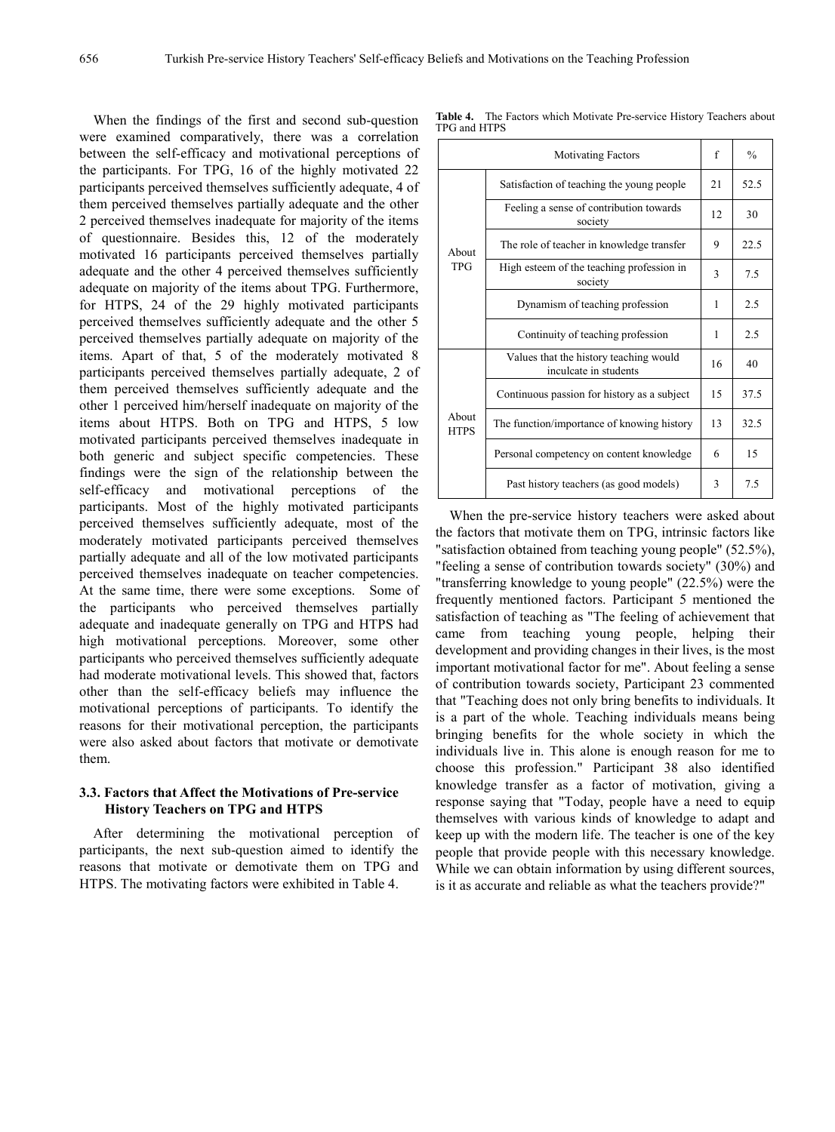When the findings of the first and second sub-question were examined comparatively, there was a correlation between the self-efficacy and motivational perceptions of the participants. For TPG, 16 of the highly motivated 22 participants perceived themselves sufficiently adequate, 4 of them perceived themselves partially adequate and the other 2 perceived themselves inadequate for majority of the items of questionnaire. Besides this, 12 of the moderately motivated 16 participants perceived themselves partially adequate and the other 4 perceived themselves sufficiently adequate on majority of the items about TPG. Furthermore, for HTPS, 24 of the 29 highly motivated participants perceived themselves sufficiently adequate and the other 5 perceived themselves partially adequate on majority of the items. Apart of that, 5 of the moderately motivated 8 participants perceived themselves partially adequate, 2 of them perceived themselves sufficiently adequate and the other 1 perceived him/herself inadequate on majority of the items about HTPS. Both on TPG and HTPS, 5 low motivated participants perceived themselves inadequate in both generic and subject specific competencies. These findings were the sign of the relationship between the self-efficacy and motivational perceptions of the participants. Most of the highly motivated participants perceived themselves sufficiently adequate, most of the moderately motivated participants perceived themselves partially adequate and all of the low motivated participants perceived themselves inadequate on teacher competencies. At the same time, there were some exceptions. Some of the participants who perceived themselves partially adequate and inadequate generally on TPG and HTPS had high motivational perceptions. Moreover, some other participants who perceived themselves sufficiently adequate had moderate motivational levels. This showed that, factors other than the self-efficacy beliefs may influence the motivational perceptions of participants. To identify the reasons for their motivational perception, the participants were also asked about factors that motivate or demotivate them.

#### **3.3. Factors that Affect the Motivations of Pre-service History Teachers on TPG and HTPS**

After determining the motivational perception of participants, the next sub-question aimed to identify the reasons that motivate or demotivate them on TPG and HTPS. The motivating factors were exhibited in Table 4.

|                      | <b>Motivating Factors</b>                                       | f  | $\frac{0}{0}$ |
|----------------------|-----------------------------------------------------------------|----|---------------|
| About<br><b>TPG</b>  | Satisfaction of teaching the young people                       | 21 | 52.5          |
|                      | Feeling a sense of contribution towards<br>society              | 12 | 30            |
|                      | The role of teacher in knowledge transfer                       | 9  | 22.5          |
|                      | High esteem of the teaching profession in<br>society            | 3  | 7.5           |
|                      | Dynamism of teaching profession                                 | 1  | 2.5           |
|                      | Continuity of teaching profession                               | 1  | 2.5           |
| About<br><b>HTPS</b> | Values that the history teaching would<br>inculcate in students | 16 | 40            |
|                      | Continuous passion for history as a subject                     | 15 | 37.5          |
|                      | The function/importance of knowing history                      | 13 | 32.5          |
|                      | Personal competency on content knowledge                        | 6  | 15            |
|                      | Past history teachers (as good models)                          | 3  | 7.5           |

**Table 4.** The Factors which Motivate Pre-service History Teachers about TPG and HTPS

When the pre-service history teachers were asked about the factors that motivate them on TPG, intrinsic factors like "satisfaction obtained from teaching young people" (52.5%), "feeling a sense of contribution towards society" (30%) and "transferring knowledge to young people" (22.5%) were the frequently mentioned factors. Participant 5 mentioned the satisfaction of teaching as "The feeling of achievement that came from teaching young people, helping their development and providing changes in their lives, is the most important motivational factor for me". About feeling a sense of contribution towards society, Participant 23 commented that "Teaching does not only bring benefits to individuals. It is a part of the whole. Teaching individuals means being bringing benefits for the whole society in which the individuals live in. This alone is enough reason for me to choose this profession." Participant 38 also identified knowledge transfer as a factor of motivation, giving a response saying that "Today, people have a need to equip themselves with various kinds of knowledge to adapt and keep up with the modern life. The teacher is one of the key people that provide people with this necessary knowledge. While we can obtain information by using different sources, is it as accurate and reliable as what the teachers provide?"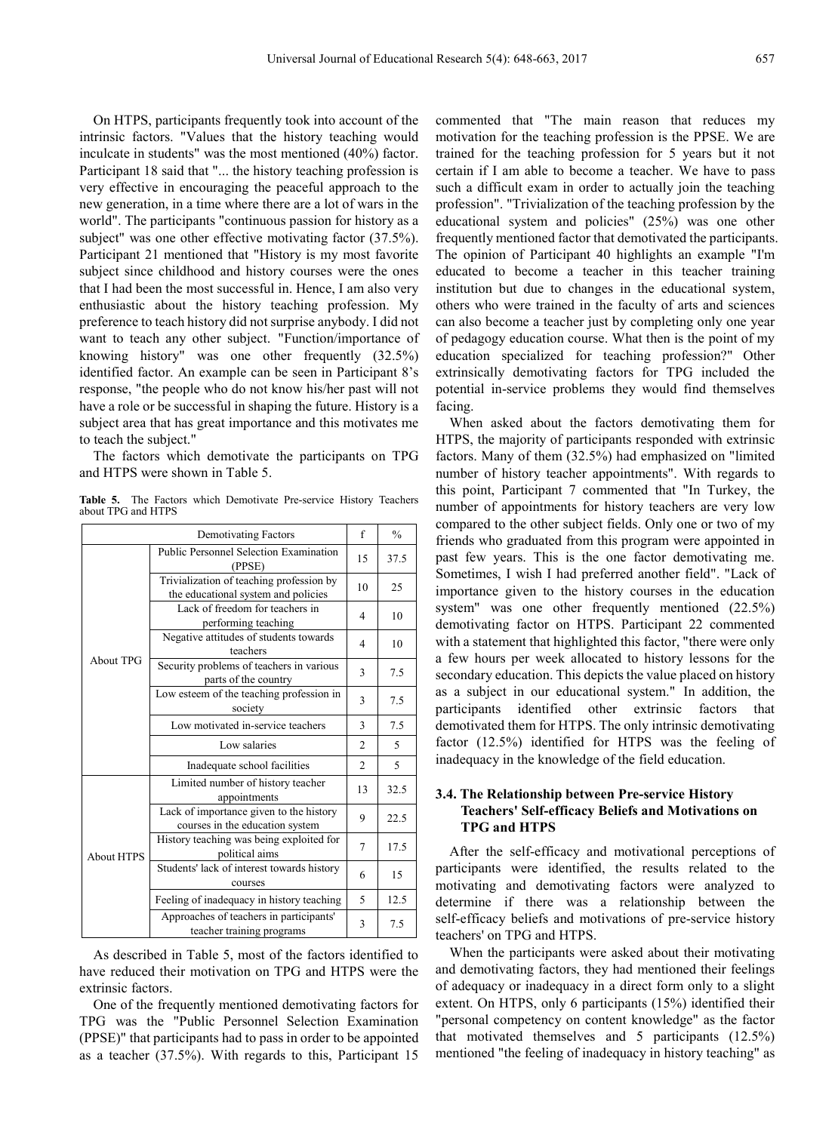On HTPS, participants frequently took into account of the intrinsic factors. "Values that the history teaching would inculcate in students" was the most mentioned (40%) factor. Participant 18 said that "... the history teaching profession is very effective in encouraging the peaceful approach to the new generation, in a time where there are a lot of wars in the world". The participants "continuous passion for history as a subject" was one other effective motivating factor (37.5%). Participant 21 mentioned that "History is my most favorite subject since childhood and history courses were the ones that I had been the most successful in. Hence, I am also very enthusiastic about the history teaching profession. My preference to teach history did not surprise anybody. I did not want to teach any other subject. "Function/importance of knowing history" was one other frequently (32.5%) identified factor. An example can be seen in Participant 8's response, "the people who do not know his/her past will not have a role or be successful in shaping the future. History is a subject area that has great importance and this motivates me to teach the subject."

The factors which demotivate the participants on TPG and HTPS were shown in Table 5.

|                    |  | <b>Table 5.</b> The Factors which Demotivate Pre-service History Teachers |  |  |
|--------------------|--|---------------------------------------------------------------------------|--|--|
| about TPG and HTPS |  |                                                                           |  |  |

|                   | $\mathbf f$                                                                     | $\frac{0}{0}$  |      |
|-------------------|---------------------------------------------------------------------------------|----------------|------|
|                   | Public Personnel Selection Examination<br>(PPSE)                                | 15             | 37.5 |
|                   | Trivialization of teaching profession by<br>the educational system and policies |                | 25   |
|                   | Lack of freedom for teachers in<br>performing teaching                          | 4              | 10   |
|                   | Negative attitudes of students towards<br>teachers                              | 4              | 10   |
| <b>About TPG</b>  | Security problems of teachers in various<br>parts of the country                | 3              | 7.5  |
|                   | Low esteem of the teaching profession in<br>society                             | 3              | 7.5  |
|                   | Low motivated in-service teachers                                               | 3              | 7.5  |
|                   | Low salaries                                                                    | $\overline{2}$ | 5    |
|                   | Inadequate school facilities                                                    | $\overline{c}$ | 5    |
| <b>About HTPS</b> | Limited number of history teacher<br>appointments                               | 13             | 32.5 |
|                   | Lack of importance given to the history<br>courses in the education system      | 9              | 22.5 |
|                   | History teaching was being exploited for<br>political aims                      | 7              | 17.5 |
|                   | Students' lack of interest towards history<br>courses                           | 6              | 15   |
|                   | Feeling of inadequacy in history teaching                                       | 5              | 12.5 |
|                   | Approaches of teachers in participants'<br>teacher training programs            | 3              | 7.5  |

As described in Table 5, most of the factors identified to have reduced their motivation on TPG and HTPS were the extrinsic factors.

One of the frequently mentioned demotivating factors for TPG was the "Public Personnel Selection Examination (PPSE)" that participants had to pass in order to be appointed as a teacher (37.5%). With regards to this, Participant 15

commented that "The main reason that reduces my motivation for the teaching profession is the PPSE. We are trained for the teaching profession for 5 years but it not certain if I am able to become a teacher. We have to pass such a difficult exam in order to actually join the teaching profession". "Trivialization of the teaching profession by the educational system and policies" (25%) was one other frequently mentioned factor that demotivated the participants. The opinion of Participant 40 highlights an example "I'm educated to become a teacher in this teacher training institution but due to changes in the educational system, others who were trained in the faculty of arts and sciences can also become a teacher just by completing only one year of pedagogy education course. What then is the point of my education specialized for teaching profession?" Other extrinsically demotivating factors for TPG included the potential in-service problems they would find themselves facing.

When asked about the factors demotivating them for HTPS, the majority of participants responded with extrinsic factors. Many of them (32.5%) had emphasized on "limited number of history teacher appointments". With regards to this point, Participant 7 commented that "In Turkey, the number of appointments for history teachers are very low compared to the other subject fields. Only one or two of my friends who graduated from this program were appointed in past few years. This is the one factor demotivating me. Sometimes, I wish I had preferred another field". "Lack of importance given to the history courses in the education system" was one other frequently mentioned (22.5%) demotivating factor on HTPS. Participant 22 commented with a statement that highlighted this factor, "there were only a few hours per week allocated to history lessons for the secondary education. This depicts the value placed on history as a subject in our educational system." In addition, the participants identified other extrinsic factors that demotivated them for HTPS. The only intrinsic demotivating factor (12.5%) identified for HTPS was the feeling of inadequacy in the knowledge of the field education.

#### **3.4. The Relationship between Pre-service History Teachers' Self-efficacy Beliefs and Motivations on TPG and HTPS**

After the self-efficacy and motivational perceptions of participants were identified, the results related to the motivating and demotivating factors were analyzed to determine if there was a relationship between the self-efficacy beliefs and motivations of pre-service history teachers' on TPG and HTPS.

When the participants were asked about their motivating and demotivating factors, they had mentioned their feelings of adequacy or inadequacy in a direct form only to a slight extent. On HTPS, only 6 participants (15%) identified their "personal competency on content knowledge" as the factor that motivated themselves and 5 participants (12.5%) mentioned "the feeling of inadequacy in history teaching" as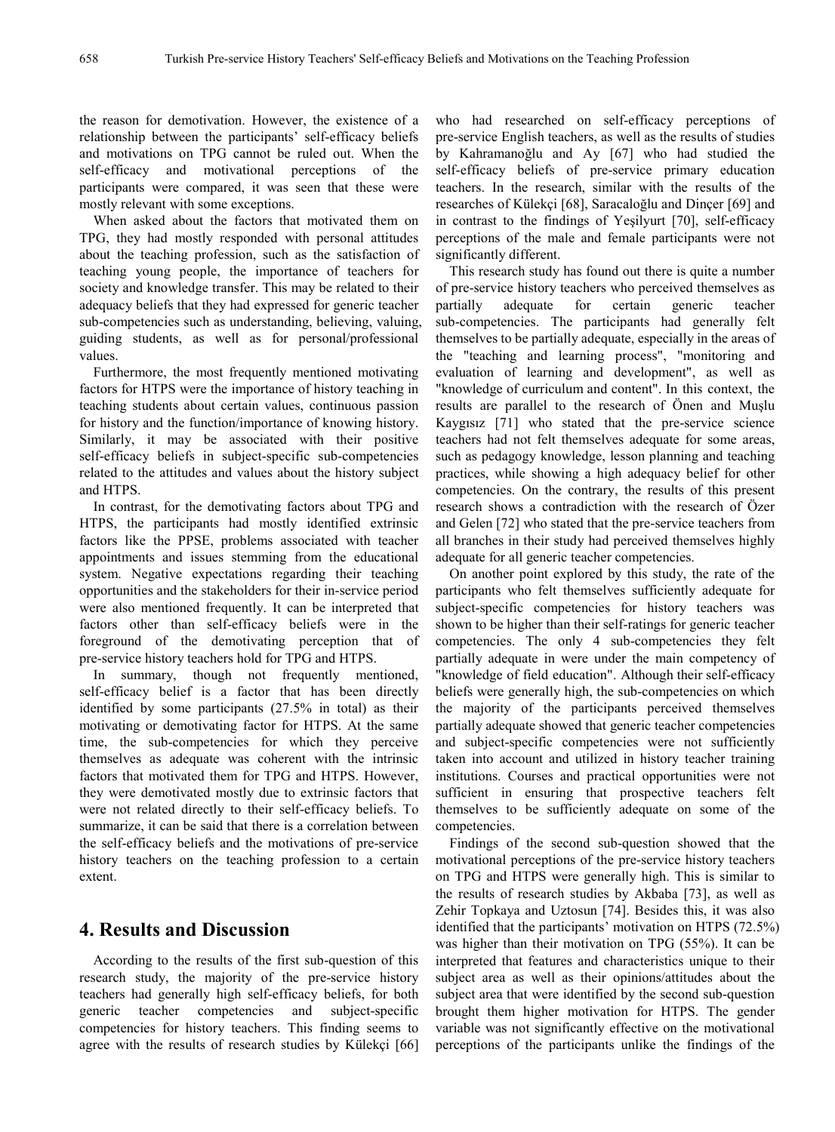the reason for demotivation. However, the existence of a relationship between the participants' self-efficacy beliefs and motivations on TPG cannot be ruled out. When the self-efficacy and motivational perceptions of the participants were compared, it was seen that these were mostly relevant with some exceptions.

When asked about the factors that motivated them on TPG, they had mostly responded with personal attitudes about the teaching profession, such as the satisfaction of teaching young people, the importance of teachers for society and knowledge transfer. This may be related to their adequacy beliefs that they had expressed for generic teacher sub-competencies such as understanding, believing, valuing, guiding students, as well as for personal/professional values.

Furthermore, the most frequently mentioned motivating factors for HTPS were the importance of history teaching in teaching students about certain values, continuous passion for history and the function/importance of knowing history. Similarly, it may be associated with their positive self-efficacy beliefs in subject-specific sub-competencies related to the attitudes and values about the history subject and HTPS.

In contrast, for the demotivating factors about TPG and HTPS, the participants had mostly identified extrinsic factors like the PPSE, problems associated with teacher appointments and issues stemming from the educational system. Negative expectations regarding their teaching opportunities and the stakeholders for their in-service period were also mentioned frequently. It can be interpreted that factors other than self-efficacy beliefs were in the foreground of the demotivating perception that of pre-service history teachers hold for TPG and HTPS.

In summary, though not frequently mentioned, self-efficacy belief is a factor that has been directly identified by some participants (27.5% in total) as their motivating or demotivating factor for HTPS. At the same time, the sub-competencies for which they perceive themselves as adequate was coherent with the intrinsic factors that motivated them for TPG and HTPS. However, they were demotivated mostly due to extrinsic factors that were not related directly to their self-efficacy beliefs. To summarize, it can be said that there is a correlation between the self-efficacy beliefs and the motivations of pre-service history teachers on the teaching profession to a certain extent.

## **4. Results and Discussion**

According to the results of the first sub-question of this research study, the majority of the pre-service history teachers had generally high self-efficacy beliefs, for both generic teacher competencies and subject-specific competencies for history teachers. This finding seems to agree with the results of research studies by Külekçi [66] who had researched on self-efficacy perceptions of pre-service English teachers, as well as the results of studies by Kahramanoğlu and Ay [67] who had studied the self-efficacy beliefs of pre-service primary education teachers. In the research, similar with the results of the researches of Külekçi [68], Saracaloğlu and Dinçer [69] and in contrast to the findings of Yeşilyurt [70], self-efficacy perceptions of the male and female participants were not significantly different.

This research study has found out there is quite a number of pre-service history teachers who perceived themselves as partially adequate for certain generic teacher sub-competencies. The participants had generally felt themselves to be partially adequate, especially in the areas of the "teaching and learning process", "monitoring and evaluation of learning and development", as well as "knowledge of curriculum and content". In this context, the results are parallel to the research of Önen and Muşlu Kaygısız [71] who stated that the pre-service science teachers had not felt themselves adequate for some areas, such as pedagogy knowledge, lesson planning and teaching practices, while showing a high adequacy belief for other competencies. On the contrary, the results of this present research shows a contradiction with the research of Özer and Gelen [72] who stated that the pre-service teachers from all branches in their study had perceived themselves highly adequate for all generic teacher competencies.

On another point explored by this study, the rate of the participants who felt themselves sufficiently adequate for subject-specific competencies for history teachers was shown to be higher than their self-ratings for generic teacher competencies. The only 4 sub-competencies they felt partially adequate in were under the main competency of "knowledge of field education". Although their self-efficacy beliefs were generally high, the sub-competencies on which the majority of the participants perceived themselves partially adequate showed that generic teacher competencies and subject-specific competencies were not sufficiently taken into account and utilized in history teacher training institutions. Courses and practical opportunities were not sufficient in ensuring that prospective teachers felt themselves to be sufficiently adequate on some of the competencies.

Findings of the second sub-question showed that the motivational perceptions of the pre-service history teachers on TPG and HTPS were generally high. This is similar to the results of research studies by Akbaba [73], as well as Zehir Topkaya and Uztosun [74]. Besides this, it was also identified that the participants' motivation on HTPS (72.5%) was higher than their motivation on TPG (55%). It can be interpreted that features and characteristics unique to their subject area as well as their opinions/attitudes about the subject area that were identified by the second sub-question brought them higher motivation for HTPS. The gender variable was not significantly effective on the motivational perceptions of the participants unlike the findings of the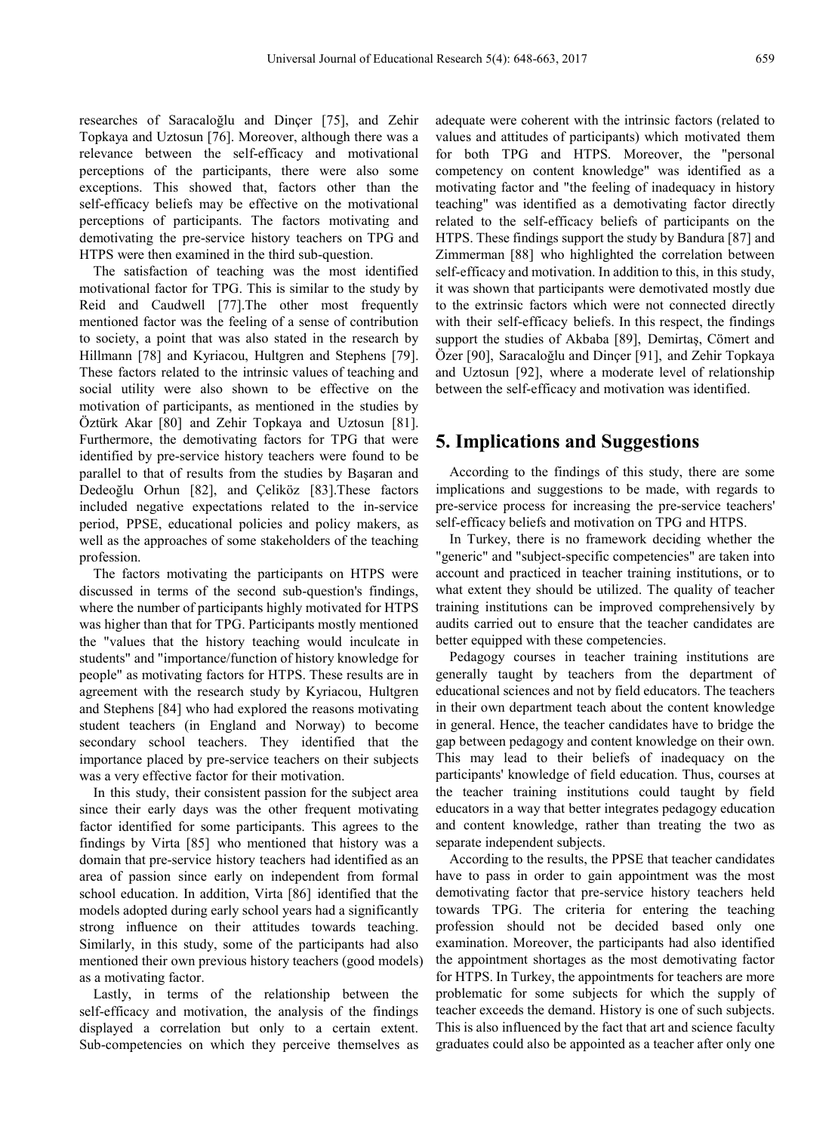researches of Saracaloğlu and Dinçer [75], and Zehir Topkaya and Uztosun [76]. Moreover, although there was a relevance between the self-efficacy and motivational perceptions of the participants, there were also some exceptions. This showed that, factors other than the self-efficacy beliefs may be effective on the motivational perceptions of participants. The factors motivating and demotivating the pre-service history teachers on TPG and HTPS were then examined in the third sub-question.

The satisfaction of teaching was the most identified motivational factor for TPG. This is similar to the study by Reid and Caudwell [77].The other most frequently mentioned factor was the feeling of a sense of contribution to society, a point that was also stated in the research by Hillmann [78] and Kyriacou, Hultgren and Stephens [79]. These factors related to the intrinsic values of teaching and social utility were also shown to be effective on the motivation of participants, as mentioned in the studies by Öztürk Akar [80] and Zehir Topkaya and Uztosun [81]. Furthermore, the demotivating factors for TPG that were identified by pre-service history teachers were found to be parallel to that of results from the studies by Başaran and Dedeoğlu Orhun [82], and Çeliköz [83].These factors included negative expectations related to the in-service period, PPSE, educational policies and policy makers, as well as the approaches of some stakeholders of the teaching profession.

The factors motivating the participants on HTPS were discussed in terms of the second sub-question's findings, where the number of participants highly motivated for HTPS was higher than that for TPG. Participants mostly mentioned the "values that the history teaching would inculcate in students" and "importance/function of history knowledge for people" as motivating factors for HTPS. These results are in agreement with the research study by Kyriacou, Hultgren and Stephens [84] who had explored the reasons motivating student teachers (in England and Norway) to become secondary school teachers. They identified that the importance placed by pre-service teachers on their subjects was a very effective factor for their motivation.

In this study, their consistent passion for the subject area since their early days was the other frequent motivating factor identified for some participants. This agrees to the findings by Virta [85] who mentioned that history was a domain that pre-service history teachers had identified as an area of passion since early on independent from formal school education. In addition, Virta [86] identified that the models adopted during early school years had a significantly strong influence on their attitudes towards teaching. Similarly, in this study, some of the participants had also mentioned their own previous history teachers (good models) as a motivating factor.

Lastly, in terms of the relationship between the self-efficacy and motivation, the analysis of the findings displayed a correlation but only to a certain extent. Sub-competencies on which they perceive themselves as adequate were coherent with the intrinsic factors (related to values and attitudes of participants) which motivated them for both TPG and HTPS. Moreover, the "personal competency on content knowledge" was identified as a motivating factor and "the feeling of inadequacy in history teaching" was identified as a demotivating factor directly related to the self-efficacy beliefs of participants on the HTPS. These findings support the study by Bandura [87] and Zimmerman [88] who highlighted the correlation between self-efficacy and motivation. In addition to this, in this study, it was shown that participants were demotivated mostly due to the extrinsic factors which were not connected directly with their self-efficacy beliefs. In this respect, the findings support the studies of Akbaba [89], Demirtaş, Cömert and Özer [90], Saracaloğlu and Dinçer [91], and Zehir Topkaya and Uztosun [92], where a moderate level of relationship between the self-efficacy and motivation was identified.

## **5. Implications and Suggestions**

According to the findings of this study, there are some implications and suggestions to be made, with regards to pre-service process for increasing the pre-service teachers' self-efficacy beliefs and motivation on TPG and HTPS.

In Turkey, there is no framework deciding whether the "generic" and "subject-specific competencies" are taken into account and practiced in teacher training institutions, or to what extent they should be utilized. The quality of teacher training institutions can be improved comprehensively by audits carried out to ensure that the teacher candidates are better equipped with these competencies.

Pedagogy courses in teacher training institutions are generally taught by teachers from the department of educational sciences and not by field educators. The teachers in their own department teach about the content knowledge in general. Hence, the teacher candidates have to bridge the gap between pedagogy and content knowledge on their own. This may lead to their beliefs of inadequacy on the participants' knowledge of field education. Thus, courses at the teacher training institutions could taught by field educators in a way that better integrates pedagogy education and content knowledge, rather than treating the two as separate independent subjects.

According to the results, the PPSE that teacher candidates have to pass in order to gain appointment was the most demotivating factor that pre-service history teachers held towards TPG. The criteria for entering the teaching profession should not be decided based only one examination. Moreover, the participants had also identified the appointment shortages as the most demotivating factor for HTPS. In Turkey, the appointments for teachers are more problematic for some subjects for which the supply of teacher exceeds the demand. History is one of such subjects. This is also influenced by the fact that art and science faculty graduates could also be appointed as a teacher after only one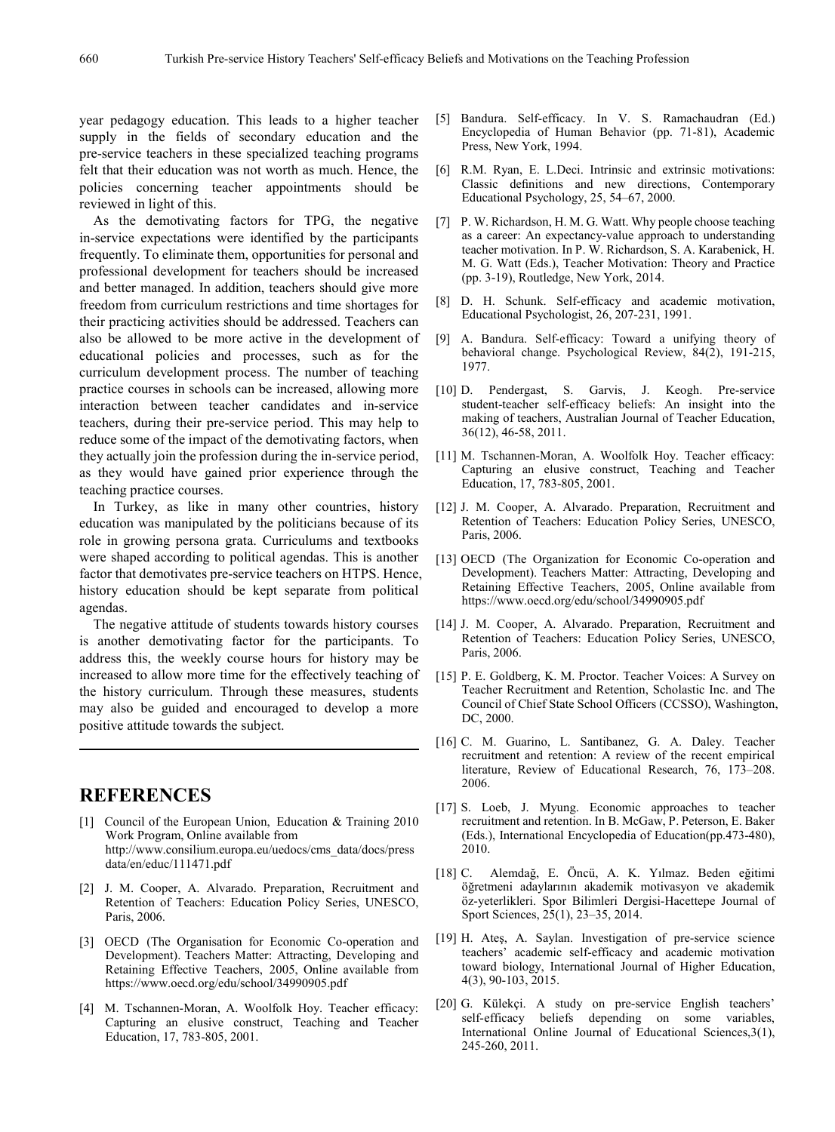year pedagogy education. This leads to a higher teacher supply in the fields of secondary education and the pre-service teachers in these specialized teaching programs felt that their education was not worth as much. Hence, the policies concerning teacher appointments should be reviewed in light of this.

As the demotivating factors for TPG, the negative in-service expectations were identified by the participants frequently. To eliminate them, opportunities for personal and professional development for teachers should be increased and better managed. In addition, teachers should give more freedom from curriculum restrictions and time shortages for their practicing activities should be addressed. Teachers can also be allowed to be more active in the development of educational policies and processes, such as for the curriculum development process. The number of teaching practice courses in schools can be increased, allowing more interaction between teacher candidates and in-service teachers, during their pre-service period. This may help to reduce some of the impact of the demotivating factors, when they actually join the profession during the in-service period, as they would have gained prior experience through the teaching practice courses.

In Turkey, as like in many other countries, history education was manipulated by the politicians because of its role in growing persona grata. Curriculums and textbooks were shaped according to political agendas. This is another factor that demotivates pre-service teachers on HTPS. Hence, history education should be kept separate from political agendas.

The negative attitude of students towards history courses is another demotivating factor for the participants. To address this, the weekly course hours for history may be increased to allow more time for the effectively teaching of the history curriculum. Through these measures, students may also be guided and encouraged to develop a more positive attitude towards the subject.

## **REFERENCES**

- [1] Council of the European Union, Education & Training 2010 Work Program, Online available from http://www.consilium.europa.eu/uedocs/cms\_data/docs/press data/en/educ/111471.pdf
- [2] J. M. Cooper, A. Alvarado. Preparation, Recruitment and Retention of Teachers: Education Policy Series, UNESCO, Paris, 2006.
- [3] OECD (The Organisation for Economic Co-operation and Development). Teachers Matter: Attracting, Developing and Retaining Effective Teachers, 2005, Online available from https://www.oecd.org/edu/school/34990905.pdf
- [4] M. Tschannen-Moran, A. Woolfolk Hoy. Teacher efficacy: Capturing an elusive construct, Teaching and Teacher Education, 17, 783-805, 2001.
- [5] Bandura. Self-efficacy. In V. S. Ramachaudran (Ed.) Encyclopedia of Human Behavior (pp. 71-81), Academic Press, New York, 1994.
- [6] R.M. Ryan, E. L.Deci. Intrinsic and extrinsic motivations: Classic definitions and new directions, Contemporary Educational Psychology, 25, 54–67, 2000.
- [7] P. W. Richardson, H. M. G. Watt. Why people choose teaching as a career: An expectancy-value approach to understanding teacher motivation. In P. W. Richardson, S. A. Karabenick, H. M. G. Watt (Eds.), Teacher Motivation: Theory and Practice (pp. 3-19), Routledge, New York, 2014.
- [8] D. H. Schunk. Self-efficacy and academic motivation, Educational Psychologist, 26, 207-231, 1991.
- [9] A. Bandura. Self-efficacy: Toward a unifying theory of behavioral change. Psychological Review, 84(2), 191-215, 1977.
- [10] D. Pendergast, S. Garvis, J. Keogh. Pre-service student-teacher self-efficacy beliefs: An insight into the making of teachers, Australian Journal of Teacher Education, 36(12), 46-58, 2011.
- [11] M. Tschannen-Moran, A. Woolfolk Hoy. Teacher efficacy: Capturing an elusive construct, Teaching and Teacher Education, 17, 783-805, 2001.
- [12] J. M. Cooper, A. Alvarado. Preparation, Recruitment and Retention of Teachers: Education Policy Series, UNESCO, Paris, 2006.
- [13] OECD (The Organization for Economic Co-operation and Development). Teachers Matter: Attracting, Developing and Retaining Effective Teachers, 2005, Online available from https://www.oecd.org/edu/school/34990905.pdf
- [14] J. M. Cooper, A. Alvarado. Preparation, Recruitment and Retention of Teachers: Education Policy Series, UNESCO, Paris, 2006.
- [15] P. E. Goldberg, K. M. Proctor. Teacher Voices: A Survey on Teacher Recruitment and Retention, Scholastic Inc. and The Council of Chief State School Officers (CCSSO), Washington, DC, 2000.
- [16] C. M. Guarino, L. Santibanez, G. A. Daley. Teacher recruitment and retention: A review of the recent empirical literature, Review of Educational Research, 76, 173–208. 2006.
- [17] S. Loeb, J. Myung. Economic approaches to teacher recruitment and retention. In B. McGaw, P. Peterson, E. Baker (Eds.), International Encyclopedia of Education(pp.473-480), 2010.
- [18] C. Alemdağ, E. Öncü, A. K. Yılmaz. Beden eğitimi öğretmeni adaylarının akademik motivasyon ve akademik öz-yeterlikleri. Spor Bilimleri Dergisi-Hacettepe Journal of Sport Sciences, 25(1), 23–35, 2014.
- [19] H. Ateş, A. Saylan. Investigation of pre-service science teachers' academic self-efficacy and academic motivation toward biology, International Journal of Higher Education, 4(3), 90-103, 2015.
- [20] G. Külekçi. A study on pre-service English teachers' self-efficacy beliefs depending on some variables, International Online Journal of Educational Sciences,3(1), 245-260, 2011.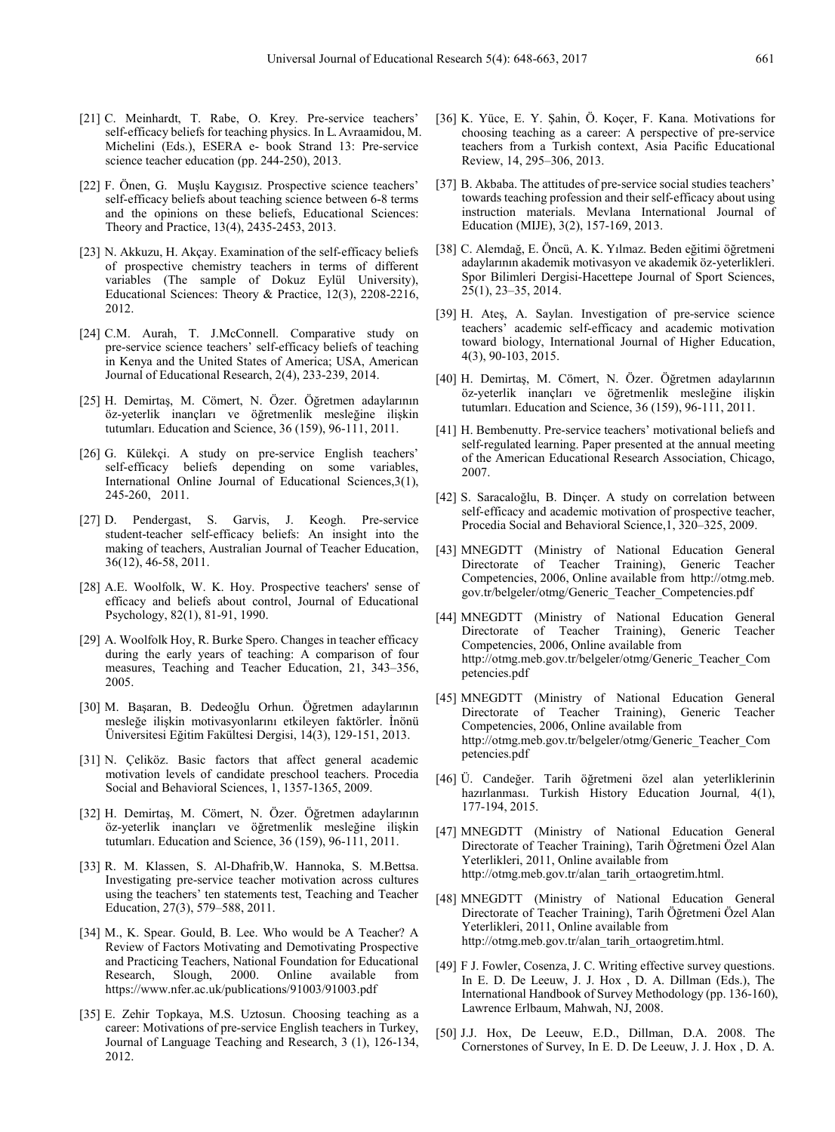- [21] C. Meinhardt, T. Rabe, O. Krey. Pre-service teachers' self-efficacy beliefs for teaching physics. In L. Avraamidou, M. Michelini (Eds.), ESERA e- book Strand 13: Pre-service science teacher education (pp. 244-250), 2013.
- [22] F. Önen, G. Muşlu Kaygısız. Prospective science teachers' self-efficacy beliefs about teaching science between 6-8 terms and the opinions on these beliefs, Educational Sciences: Theory and Practice, 13(4), 2435-2453, 2013.
- [23] N. Akkuzu, H. Akçay. Examination of the self-efficacy beliefs of prospective chemistry teachers in terms of different variables (The sample of Dokuz Eylül University), Educational Sciences: Theory & Practice, 12(3), 2208-2216, 2012.
- [24] C.M. Aurah, T. J.McConnell. Comparative study on pre-service science teachers' self-efficacy beliefs of teaching in Kenya and the United States of America; USA, American Journal of Educational Research, 2(4), 233-239, 2014.
- [25] H. Demirtaş, M. Cömert, N. Özer. Öğretmen adaylarının öz-yeterlik inançları ve öğretmenlik mesleğine ilişkin tutumları. Education and Science, 36 (159), 96-111, 2011.
- [26] G. Külekçi. A study on pre-service English teachers' self-efficacy beliefs depending on some variables, International Online Journal of Educational Sciences, 3(1), 245-260, 2011.
- [27] D. Pendergast, S. Garvis, J. Keogh. Pre-service student-teacher self-efficacy beliefs: An insight into the making of teachers, Australian Journal of Teacher Education, 36(12), 46-58, 2011.
- [28] A.E. Woolfolk, W. K. Hoy. Prospective teachers' sense of efficacy and beliefs about control, Journal of Educational Psychology, 82(1), 81-91, 1990.
- [29] A. Woolfolk Hoy, R. Burke Spero. Changes in teacher efficacy during the early years of teaching: A comparison of four measures, Teaching and Teacher Education, 21, 343–356, 2005.
- [30] M. Başaran, B. Dedeoğlu Orhun. Öğretmen adaylarının mesleğe ilişkin motivasyonlarını etkileyen faktörler. İnönü Üniversitesi Eğitim Fakültesi Dergisi, 14(3), 129-151, 2013.
- [31] N. Çeliköz. Basic factors that affect general academic motivation levels of candidate preschool teachers. Procedia Social and Behavioral Sciences, 1, 1357-1365, 2009.
- [32] H. Demirtaş, M. Cömert, N. Özer. Öğretmen adaylarının öz-yeterlik inançları ve öğretmenlik mesleğine ilişkin tutumları. Education and Science, 36 (159), 96-111, 2011.
- [33] R. M. Klassen, S. Al-Dhafrib,W. Hannoka, S. M.Bettsa. Investigating pre-service teacher motivation across cultures using the teachers' ten statements test, Teaching and Teacher Education, 27(3), 579–588, 2011.
- [34] M., K. Spear. Gould, B. Lee. Who would be A Teacher? A Review of Factors Motivating and Demotivating Prospective and Practicing Teachers, National Foundation for Educational Research, Slough, 2000. Online available from https://www.nfer.ac.uk/publications/91003/91003.pdf
- [35] E. Zehir Topkaya, M.S. Uztosun. Choosing teaching as a career: Motivations of pre-service English teachers in Turkey, Journal of Language Teaching and Research, 3 (1), 126-134, 2012.
- [36] K. Yüce, E. Y. Şahin, Ö. Koçer, F. Kana. Motivations for choosing teaching as a career: A perspective of pre-service teachers from a Turkish context, Asia Pacific Educational Review, 14, 295–306, 2013.
- [37] B. Akbaba. The attitudes of pre-service social studies teachers' towards teaching profession and their self-efficacy about using instruction materials. Mevlana International Journal of Education (MIJE), 3(2), 157-169, 2013.
- [38] C. Alemdağ, E. Öncü, A. K. Yılmaz. Beden eğitimi öğretmeni adaylarının akademik motivasyon ve akademik öz-yeterlikleri. Spor Bilimleri Dergisi-Hacettepe Journal of Sport Sciences, 25(1), 23–35, 2014.
- [39] H. Ateş, A. Saylan. Investigation of pre-service science teachers' academic self-efficacy and academic motivation toward biology, International Journal of Higher Education, 4(3), 90-103, 2015.
- [40] H. Demirtaş, M. Cömert, N. Özer. Öğretmen adaylarının öz-yeterlik inançları ve öğretmenlik mesleğine ilişkin tutumları. Education and Science, 36 (159), 96-111, 2011.
- [41] H. Bembenutty. Pre-service teachers' motivational beliefs and self-regulated learning. Paper presented at the annual meeting of the American Educational Research Association, Chicago, 2007.
- [42] S. Saracaloğlu, B. Dinçer. A study on correlation between self-efficacy and academic motivation of prospective teacher, Procedia Social and Behavioral Science,1, 320–325, 2009.
- [43] MNEGDTT (Ministry of National Education General Directorate of Teacher Training), Generic Teacher Competencies, 2006, Online available from http://otmg.meb. gov.tr/belgeler/otmg/Generic\_Teacher\_Competencies.pdf
- [44] MNEGDTT (Ministry of National Education General Directorate of Teacher Training), Generic Teacher Competencies, 2006, Online available from http://otmg.meb.gov.tr/belgeler/otmg/Generic\_Teacher\_Com petencies.pdf
- [45] MNEGDTT (Ministry of National Education General Directorate of Teacher Training), Generic Teacher Competencies, 2006, Online available from http://otmg.meb.gov.tr/belgeler/otmg/Generic\_Teacher\_Com petencies.pdf
- [46] Ü. Candeğer. Tarih öğretmeni özel alan yeterliklerinin hazırlanması. Turkish History Education Journal*,* 4(1), 177-194, 2015.
- [47] MNEGDTT (Ministry of National Education General Directorate of Teacher Training), Tarih Öğretmeni Özel Alan Yeterlikleri, 2011, Online available from http://otmg.meb.gov.tr/alan\_tarih\_ortaogretim.html.
- [48] MNEGDTT (Ministry of National Education General Directorate of Teacher Training), Tarih Öğretmeni Özel Alan Yeterlikleri, 2011, Online available from http://otmg.meb.gov.tr/alan\_tarih\_ortaogretim.html.
- [49] F J. Fowler, Cosenza, J. C. Writing effective survey questions. In E. D. De Leeuw, J. J. Hox , D. A. Dillman (Eds.), The International Handbook of Survey Methodology (pp. 136-160), Lawrence Erlbaum, Mahwah, NJ, 2008.
- [50] J.J. Hox, De Leeuw, E.D., Dillman, D.A. 2008. The Cornerstones of Survey, In E. D. De Leeuw, J. J. Hox , D. A.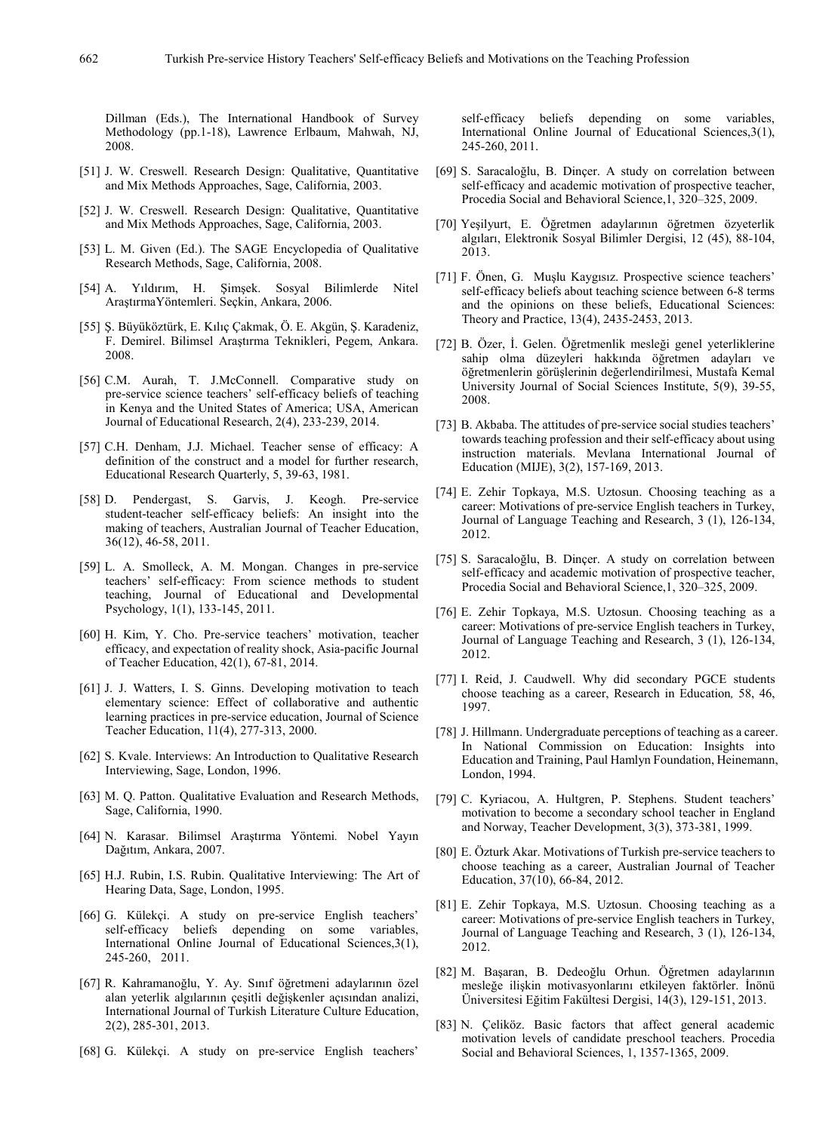Dillman (Eds.), The International Handbook of Survey Methodology (pp.1-18), Lawrence Erlbaum, Mahwah, NJ, 2008.

- [51] J. W. Creswell. Research Design: Qualitative, Quantitative and Mix Methods Approaches, Sage, California, 2003.
- [52] J. W. Creswell. Research Design: Qualitative, Quantitative and Mix Methods Approaches, Sage, California, 2003.
- [53] L. M. Given (Ed.). The SAGE Encyclopedia of Qualitative Research Methods, Sage, California, 2008.
- [54] A. Yıldırım, H. Şimşek. Sosyal Bilimlerde Nitel AraştırmaYöntemleri. Seçkin, Ankara, 2006.
- [55] Ş. Büyüköztürk, E. Kılıç Çakmak, Ö. E. Akgün, Ş. Karadeniz, F. Demirel. Bilimsel Araştırma Teknikleri, Pegem, Ankara. 2008.
- [56] C.M. Aurah, T. J.McConnell. Comparative study on pre-service science teachers' self-efficacy beliefs of teaching in Kenya and the United States of America; USA, American Journal of Educational Research, 2(4), 233-239, 2014.
- [57] C.H. Denham, J.J. Michael. Teacher sense of efficacy: A definition of the construct and a model for further research, Educational Research Quarterly, 5, 39-63, 1981.
- [58] D. Pendergast, S. Garvis, J. Keogh. Pre-service student-teacher self-efficacy beliefs: An insight into the making of teachers, Australian Journal of Teacher Education, 36(12), 46-58, 2011.
- [59] L. A. Smolleck, A. M. Mongan. Changes in pre-service teachers' self-efficacy: From science methods to student teaching, Journal of Educational and Developmental Psychology, 1(1), 133-145, 2011.
- [60] H. Kim, Y. Cho. Pre-service teachers' motivation, teacher efficacy, and expectation of reality shock, Asia-pacific Journal of Teacher Education, 42(1), 67-81, 2014.
- [61] J. J. Watters, I. S. Ginns. Developing motivation to teach elementary science: Effect of collaborative and authentic learning practices in pre-service education, Journal of Science Teacher Education, 11(4), 277-313, 2000.
- [62] S. Kvale. Interviews: An Introduction to Qualitative Research Interviewing, Sage, London, 1996.
- [63] M. O. Patton. Qualitative Evaluation and Research Methods, Sage, California, 1990.
- [64] N. Karasar. Bilimsel Araştırma Yöntemi*.* Nobel Yayın Dağıtım, Ankara, 2007.
- [65] H.J. Rubin, I.S. Rubin. Qualitative Interviewing: The Art of Hearing Data, Sage, London, 1995.
- [66] G. Külekçi. A study on pre-service English teachers' self-efficacy beliefs depending on some variables, International Online Journal of Educational Sciences,3(1), 245-260, 2011.
- [67] R. Kahramanoğlu, Y. Ay. Sınıf öğretmeni adaylarının özel alan yeterlik algılarının çeşitli değişkenler açısından analizi, International Journal of Turkish Literature Culture Education, 2(2), 285-301, 2013.
- [68] G. Külekçi. A study on pre-service English teachers'

self-efficacy beliefs depending on some variables, International Online Journal of Educational Sciences,3(1), 245-260, 2011.

- [69] S. Saracaloğlu, B. Dinçer. A study on correlation between self-efficacy and academic motivation of prospective teacher, Procedia Social and Behavioral Science,1, 320–325, 2009.
- [70] Yeşilyurt, E. Öğretmen adaylarının öğretmen özyeterlik algıları, Elektronik Sosyal Bilimler Dergisi, 12 (45), 88-104, 2013.
- [71] F. Önen, G. Muşlu Kaygısız. Prospective science teachers' self-efficacy beliefs about teaching science between 6-8 terms and the opinions on these beliefs, Educational Sciences: Theory and Practice, 13(4), 2435-2453, 2013.
- [72] B. Özer, İ. Gelen. Öğretmenlik mesleği genel yeterliklerine sahip olma düzeyleri hakkında öğretmen adayları ve öğretmenlerin görüşlerinin değerlendirilmesi, Mustafa Kemal University Journal of Social Sciences Institute, 5(9), 39-55, 2008.
- [73] B. Akbaba. The attitudes of pre-service social studies teachers' towards teaching profession and their self-efficacy about using instruction materials. Mevlana International Journal of Education (MIJE), 3(2), 157-169, 2013.
- [74] E. Zehir Topkaya, M.S. Uztosun. Choosing teaching as a career: Motivations of pre-service English teachers in Turkey, Journal of Language Teaching and Research, 3 (1), 126-134, 2012.
- [75] S. Saracaloğlu, B. Dinçer. A study on correlation between self-efficacy and academic motivation of prospective teacher, Procedia Social and Behavioral Science,1, 320–325, 2009.
- [76] E. Zehir Topkaya, M.S. Uztosun. Choosing teaching as a career: Motivations of pre-service English teachers in Turkey, Journal of Language Teaching and Research, 3 (1), 126-134, 2012.
- [77] I. Reid, J. Caudwell. Why did secondary PGCE students choose teaching as a career, Research in Education*,* 58, 46, 1997.
- [78] J. Hillmann. Undergraduate perceptions of teaching as a career. In National Commission on Education: Insights into Education and Training, Paul Hamlyn Foundation, Heinemann, London, 1994.
- [79] C. Kyriacou, A. Hultgren, P. Stephens. Student teachers' motivation to become a secondary school teacher in England and Norway, Teacher Development, 3(3), 373-381, 1999.
- [80] E. Özturk Akar. Motivations of Turkish pre-service teachers to choose teaching as a career, Australian Journal of Teacher Education, 37(10), 66-84, 2012.
- [81] E. Zehir Topkaya, M.S. Uztosun. Choosing teaching as a career: Motivations of pre-service English teachers in Turkey, Journal of Language Teaching and Research, 3 (1), 126-134, 2012.
- [82] M. Başaran, B. Dedeoğlu Orhun. Öğretmen adaylarının mesleğe ilişkin motivasyonlarını etkileyen faktörler. İnönü Üniversitesi Eğitim Fakültesi Dergisi, 14(3), 129-151, 2013.
- [83] N. Çeliköz. Basic factors that affect general academic motivation levels of candidate preschool teachers. Procedia Social and Behavioral Sciences, 1, 1357-1365, 2009.